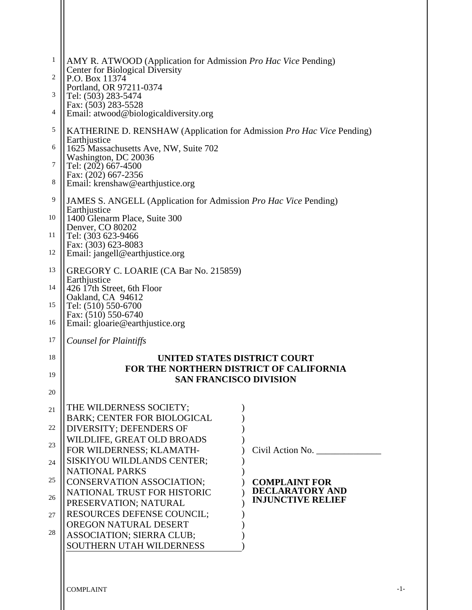| 1  | AMY R. ATWOOD (Application for Admission <i>Pro Hac Vice Pending</i> )                                     |  |  |  |  |  |
|----|------------------------------------------------------------------------------------------------------------|--|--|--|--|--|
| 2  | Center for Biological Diversity<br>P.O. Box 11374                                                          |  |  |  |  |  |
| 3  | Portland, OR 97211-0374<br>Tel: (503) 283-5474                                                             |  |  |  |  |  |
| 4  | Fax: (503) 283-5528<br>Email: atwood@biologicaldiversity.org                                               |  |  |  |  |  |
| 5  | KATHERINE D. RENSHAW (Application for Admission Pro Hac Vice Pending)                                      |  |  |  |  |  |
| 6  | Earthjustice<br>1625 Massachusetts Ave, NW, Suite 702                                                      |  |  |  |  |  |
| 7  | Washington, DC 20036<br>Tel: (202) 667-4500                                                                |  |  |  |  |  |
| 8  | Fax: (202) 667-2356<br>Email: krenshaw@earthjustice.org                                                    |  |  |  |  |  |
| 9  |                                                                                                            |  |  |  |  |  |
|    | JAMES S. ANGELL (Application for Admission Pro Hac Vice Pending)<br>Earthjustice                           |  |  |  |  |  |
| 10 | 1400 Glenarm Place, Suite 300<br>Denver, CO 80202                                                          |  |  |  |  |  |
| 11 | Tel: (303 623-9466<br>Fax: (303) 623-8083                                                                  |  |  |  |  |  |
| 12 | Email: jangell@earthjustice.org                                                                            |  |  |  |  |  |
| 13 | GREGORY C. LOARIE (CA Bar No. 215859)<br>Earthjustice                                                      |  |  |  |  |  |
| 14 | 426 17th Street, 6th Floor                                                                                 |  |  |  |  |  |
| 15 | Oakland, CA 94612<br>Tel: (510) 550-6700                                                                   |  |  |  |  |  |
| 16 | Fax: (510) 550-6740<br>Email: gloarie@earthjustice.org                                                     |  |  |  |  |  |
| 17 | Counsel for Plaintiffs                                                                                     |  |  |  |  |  |
| 18 | UNITED STATES DISTRICT COURT                                                                               |  |  |  |  |  |
| 19 | FOR THE NORTHERN DISTRICT OF CALIFORNIA                                                                    |  |  |  |  |  |
| 20 | <b>SAN FRANCISCO DIVISION</b>                                                                              |  |  |  |  |  |
| 21 | THE WILDERNESS SOCIETY;                                                                                    |  |  |  |  |  |
|    | <b>BARK: CENTER FOR BIOLOGICAL</b>                                                                         |  |  |  |  |  |
| 22 | DIVERSITY; DEFENDERS OF<br>WILDLIFE, GREAT OLD BROADS                                                      |  |  |  |  |  |
| 23 | Civil Action No.<br>FOR WILDERNESS; KLAMATH-                                                               |  |  |  |  |  |
| 24 | SISKIYOU WILDLANDS CENTER;<br><b>NATIONAL PARKS</b>                                                        |  |  |  |  |  |
| 25 | <b>CONSERVATION ASSOCIATION;</b><br><b>COMPLAINT FOR</b>                                                   |  |  |  |  |  |
| 26 | <b>DECLARATORY AND</b><br>NATIONAL TRUST FOR HISTORIC<br><b>INJUNCTIVE RELIEF</b><br>PRESERVATION; NATURAL |  |  |  |  |  |
| 27 | <b>RESOURCES DEFENSE COUNCIL;</b>                                                                          |  |  |  |  |  |
| 28 | OREGON NATURAL DESERT                                                                                      |  |  |  |  |  |
|    | <b>ASSOCIATION; SIERRA CLUB;</b><br>SOUTHERN UTAH WILDERNESS                                               |  |  |  |  |  |
|    |                                                                                                            |  |  |  |  |  |

 $\mathbf{\mathsf{II}}$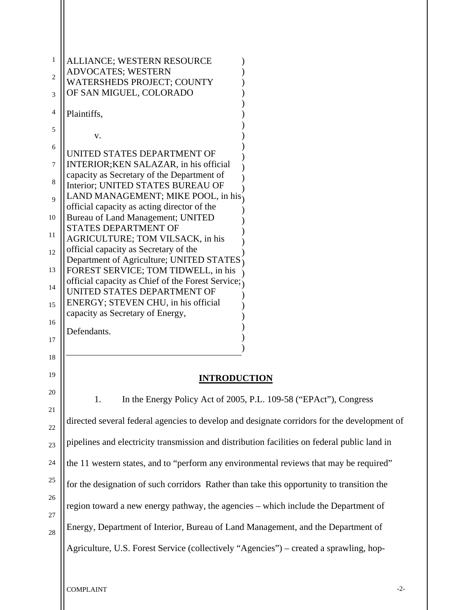| 1           | ALLIANCE; WESTERN RESOURCE<br><b>ADVOCATES; WESTERN</b>                                      |
|-------------|----------------------------------------------------------------------------------------------|
| 2<br>3      | <b>WATERSHEDS PROJECT; COUNTY</b><br>OF SAN MIGUEL, COLORADO                                 |
| 4           | Plaintiffs,                                                                                  |
| 5           |                                                                                              |
| 6           | V.                                                                                           |
| 7           | UNITED STATES DEPARTMENT OF<br>INTERIOR; KEN SALAZAR, in his official                        |
| 8           | capacity as Secretary of the Department of<br>Interior; UNITED STATES BUREAU OF              |
| $\mathbf Q$ | LAND MANAGEMENT; MIKE POOL, in his<br>official capacity as acting director of the            |
| 10          | Bureau of Land Management; UNITED<br><b>STATES DEPARTMENT OF</b>                             |
| 11          | AGRICULTURE; TOM VILSACK, in his                                                             |
| 12          | official capacity as Secretary of the<br>Department of Agriculture; UNITED STATES            |
| 13          | FOREST SERVICE; TOM TIDWELL, in his<br>official capacity as Chief of the Forest Service;     |
| 14          | UNITED STATES DEPARTMENT OF<br>ENERGY; STEVEN CHU, in his official                           |
| 15<br>16    | capacity as Secretary of Energy,                                                             |
| 17          | Defendants.                                                                                  |
| 18          |                                                                                              |
| 19          | <b>INTRODUCTION</b>                                                                          |
| 20          | In the Energy Policy Act of 2005, P.L. 109-58 ("EPAct"), Congress<br>1.                      |
| 21          |                                                                                              |
| 22          | directed several federal agencies to develop and designate corridors for the development of  |
| 23          | pipelines and electricity transmission and distribution facilities on federal public land in |
| 24          | the 11 western states, and to "perform any environmental reviews that may be required"       |
| 25          | for the designation of such corridors Rather than take this opportunity to transition the    |
| 26<br>27    | region toward a new energy pathway, the agencies – which include the Department of           |
| 28          | Energy, Department of Interior, Bureau of Land Management, and the Department of             |
|             | Agriculture, U.S. Forest Service (collectively "Agencies") – created a sprawling, hop-       |

COMPLAINT -2-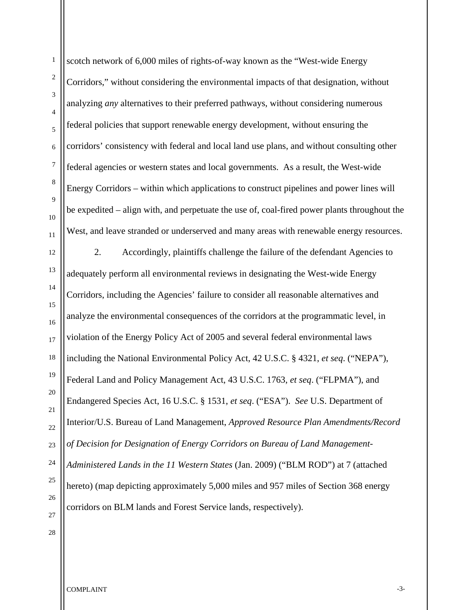1 2 3 4 5 6 7 8 9 10 11 12 13 14 15 16 17 18 19 20 21 22 23 24 25 26 27 scotch network of 6,000 miles of rights-of-way known as the "West-wide Energy Corridors," without considering the environmental impacts of that designation, without analyzing *any* alternatives to their preferred pathways, without considering numerous federal policies that support renewable energy development, without ensuring the corridors' consistency with federal and local land use plans, and without consulting other federal agencies or western states and local governments. As a result, the West-wide Energy Corridors – within which applications to construct pipelines and power lines will be expedited – align with, and perpetuate the use of, coal-fired power plants throughout the West, and leave stranded or underserved and many areas with renewable energy resources. 2. Accordingly, plaintiffs challenge the failure of the defendant Agencies to adequately perform all environmental reviews in designating the West-wide Energy Corridors, including the Agencies' failure to consider all reasonable alternatives and analyze the environmental consequences of the corridors at the programmatic level, in violation of the Energy Policy Act of 2005 and several federal environmental laws including the National Environmental Policy Act, 42 U.S.C. § 4321, *et seq*. ("NEPA"), Federal Land and Policy Management Act, 43 U.S.C. 1763, *et seq*. ("FLPMA"), and Endangered Species Act, 16 U.S.C. § 1531, *et seq*. ("ESA"). *See* U.S. Department of Interior/U.S. Bureau of Land Management, *Approved Resource Plan Amendments/Record of Decision for Designation of Energy Corridors on Bureau of Land Management-Administered Lands in the 11 Western States* (Jan. 2009) ("BLM ROD") at 7 (attached hereto) (map depicting approximately 5,000 miles and 957 miles of Section 368 energy corridors on BLM lands and Forest Service lands, respectively).

COMPLAINT -3-

28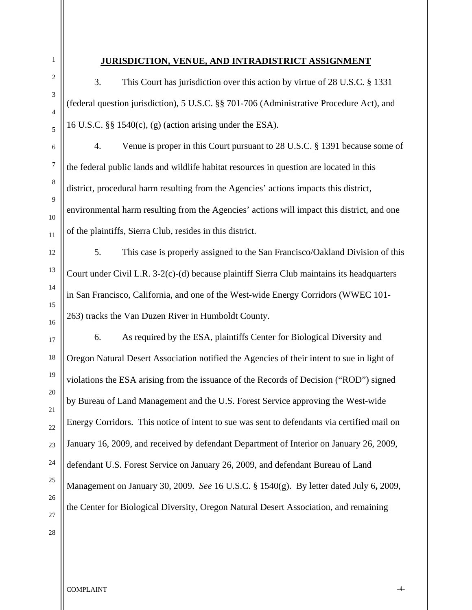3. This Court has jurisdiction over this action by virtue of 28 U.S.C. § 1331 (federal question jurisdiction), 5 U.S.C. §§ 701-706 (Administrative Procedure Act), and 16 U.S.C. §§ 1540(c), (g) (action arising under the ESA). 4. Venue is proper in this Court pursuant to 28 U.S.C. § 1391 because some of the federal public lands and wildlife habitat resources in question are located in this district, procedural harm resulting from the Agencies' actions impacts this district, environmental harm resulting from the Agencies' actions will impact this district, and one of the plaintiffs, Sierra Club, resides in this district.

**JURISDICTION, VENUE, AND INTRADISTRICT ASSIGNMENT**

5. This case is properly assigned to the San Francisco/Oakland Division of this Court under Civil L.R. 3-2(c)-(d) because plaintiff Sierra Club maintains its headquarters in San Francisco, California, and one of the West-wide Energy Corridors (WWEC 101- 263) tracks the Van Duzen River in Humboldt County.

6. As required by the ESA, plaintiffs Center for Biological Diversity and Oregon Natural Desert Association notified the Agencies of their intent to sue in light of violations the ESA arising from the issuance of the Records of Decision ("ROD") signed by Bureau of Land Management and the U.S. Forest Service approving the West-wide Energy Corridors. This notice of intent to sue was sent to defendants via certified mail on January 16, 2009, and received by defendant Department of Interior on January 26, 2009, defendant U.S. Forest Service on January 26, 2009, and defendant Bureau of Land Management on January 30, 2009. *See* 16 U.S.C. § 1540(g). By letter dated July 6**,** 2009, the Center for Biological Diversity, Oregon Natural Desert Association, and remaining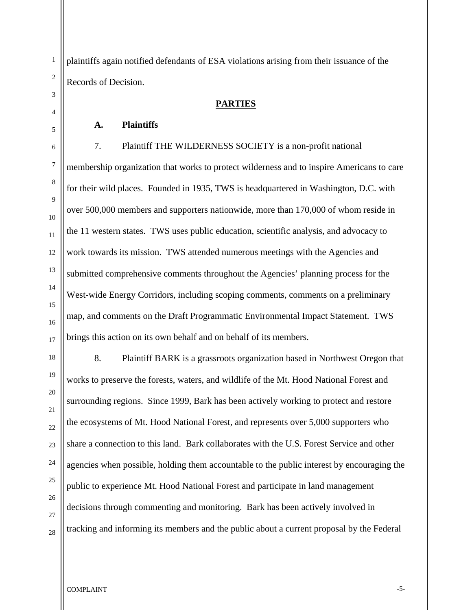plaintiffs again notified defendants of ESA violations arising from their issuance of the Records of Decision.

#### **PARTIES**

#### **A. Plaintiffs**

 7. Plaintiff THE WILDERNESS SOCIETY is a non-profit national membership organization that works to protect wilderness and to inspire Americans to care for their wild places. Founded in 1935, TWS is headquartered in Washington, D.C. with over 500,000 members and supporters nationwide, more than 170,000 of whom reside in the 11 western states. TWS uses public education, scientific analysis, and advocacy to work towards its mission. TWS attended numerous meetings with the Agencies and submitted comprehensive comments throughout the Agencies' planning process for the West-wide Energy Corridors, including scoping comments, comments on a preliminary map, and comments on the Draft Programmatic Environmental Impact Statement. TWS brings this action on its own behalf and on behalf of its members.

8. Plaintiff BARK is a grassroots organization based in Northwest Oregon that works to preserve the forests, waters, and wildlife of the Mt. Hood National Forest and surrounding regions. Since 1999, Bark has been actively working to protect and restore the ecosystems of Mt. Hood National Forest, and represents over 5,000 supporters who share a connection to this land. Bark collaborates with the U.S. Forest Service and other agencies when possible, holding them accountable to the public interest by encouraging the public to experience Mt. Hood National Forest and participate in land management decisions through commenting and monitoring. Bark has been actively involved in tracking and informing its members and the public about a current proposal by the Federal

1

2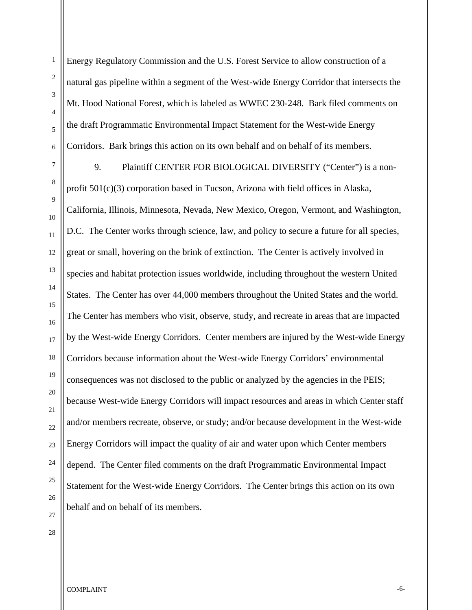Energy Regulatory Commission and the U.S. Forest Service to allow construction of a natural gas pipeline within a segment of the West-wide Energy Corridor that intersects the Mt. Hood National Forest, which is labeled as WWEC 230-248. Bark filed comments on the draft Programmatic Environmental Impact Statement for the West-wide Energy Corridors. Bark brings this action on its own behalf and on behalf of its members.

9. Plaintiff CENTER FOR BIOLOGICAL DIVERSITY ("Center") is a nonprofit 501(c)(3) corporation based in Tucson, Arizona with field offices in Alaska, California, Illinois, Minnesota, Nevada, New Mexico, Oregon, Vermont, and Washington, D.C. The Center works through science, law, and policy to secure a future for all species, great or small, hovering on the brink of extinction. The Center is actively involved in species and habitat protection issues worldwide, including throughout the western United States. The Center has over 44,000 members throughout the United States and the world. The Center has members who visit, observe, study, and recreate in areas that are impacted by the West-wide Energy Corridors. Center members are injured by the West-wide Energy Corridors because information about the West-wide Energy Corridors' environmental consequences was not disclosed to the public or analyzed by the agencies in the PEIS; because West-wide Energy Corridors will impact resources and areas in which Center staff and/or members recreate, observe, or study; and/or because development in the West-wide Energy Corridors will impact the quality of air and water upon which Center members depend. The Center filed comments on the draft Programmatic Environmental Impact Statement for the West-wide Energy Corridors. The Center brings this action on its own behalf and on behalf of its members.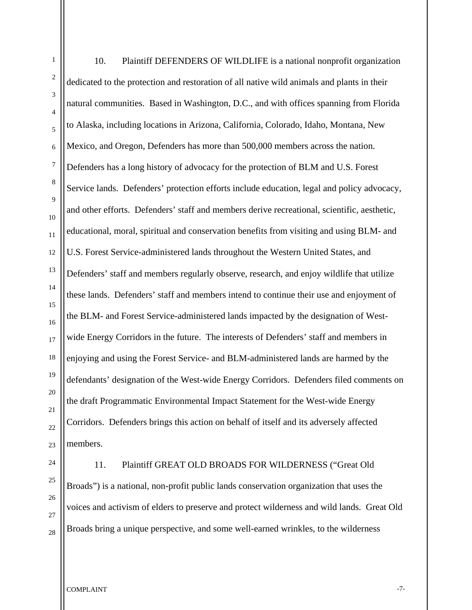2 3 5 6 8 12 13 14 15 16 17 18 20 22 23 10. Plaintiff DEFENDERS OF WILDLIFE is a national nonprofit organization dedicated to the protection and restoration of all native wild animals and plants in their natural communities. Based in Washington, D.C., and with offices spanning from Florida to Alaska, including locations in Arizona, California, Colorado, Idaho, Montana, New Mexico, and Oregon, Defenders has more than 500,000 members across the nation. Defenders has a long history of advocacy for the protection of BLM and U.S. Forest Service lands. Defenders' protection efforts include education, legal and policy advocacy, and other efforts. Defenders' staff and members derive recreational, scientific, aesthetic, educational, moral, spiritual and conservation benefits from visiting and using BLM- and U.S. Forest Service-administered lands throughout the Western United States, and Defenders' staff and members regularly observe, research, and enjoy wildlife that utilize these lands. Defenders' staff and members intend to continue their use and enjoyment of the BLM- and Forest Service-administered lands impacted by the designation of Westwide Energy Corridors in the future. The interests of Defenders' staff and members in enjoying and using the Forest Service- and BLM-administered lands are harmed by the defendants' designation of the West-wide Energy Corridors. Defenders filed comments on the draft Programmatic Environmental Impact Statement for the West-wide Energy Corridors. Defenders brings this action on behalf of itself and its adversely affected members. 11. Plaintiff GREAT OLD BROADS FOR WILDERNESS ("Great Old

Broads") is a national, non-profit public lands conservation organization that uses the voices and activism of elders to preserve and protect wilderness and wild lands. Great Old Broads bring a unique perspective, and some well-earned wrinkles, to the wilderness

COMPLAINT FOR THE COMPLAINT STATES OF THE COMPLAINT STATES OF THE COMPLAINT STATES OF THE COMPLAINT

1

4

7

9

10

11

19

21

24

25

26

27

28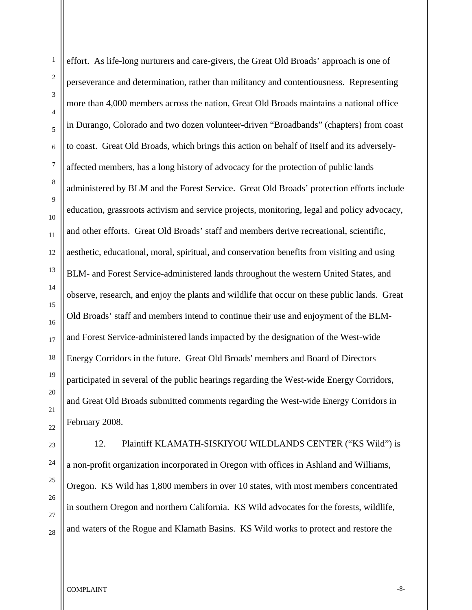effort. As life-long nurturers and care-givers, the Great Old Broads' approach is one of perseverance and determination, rather than militancy and contentiousness. Representing more than 4,000 members across the nation, Great Old Broads maintains a national office in Durango, Colorado and two dozen volunteer-driven "Broadbands" (chapters) from coast to coast. Great Old Broads, which brings this action on behalf of itself and its adverselyaffected members, has a long history of advocacy for the protection of public lands administered by BLM and the Forest Service. Great Old Broads' protection efforts include education, grassroots activism and service projects, monitoring, legal and policy advocacy, and other efforts. Great Old Broads' staff and members derive recreational, scientific, aesthetic, educational, moral, spiritual, and conservation benefits from visiting and using BLM- and Forest Service-administered lands throughout the western United States, and observe, research, and enjoy the plants and wildlife that occur on these public lands. Great Old Broads' staff and members intend to continue their use and enjoyment of the BLMand Forest Service-administered lands impacted by the designation of the West-wide Energy Corridors in the future. Great Old Broads' members and Board of Directors participated in several of the public hearings regarding the West-wide Energy Corridors, and Great Old Broads submitted comments regarding the West-wide Energy Corridors in February 2008.

12. Plaintiff KLAMATH-SISKIYOU WILDLANDS CENTER ("KS Wild") is a non-profit organization incorporated in Oregon with offices in Ashland and Williams, Oregon. KS Wild has 1,800 members in over 10 states, with most members concentrated in southern Oregon and northern California. KS Wild advocates for the forests, wildlife, and waters of the Rogue and Klamath Basins. KS Wild works to protect and restore the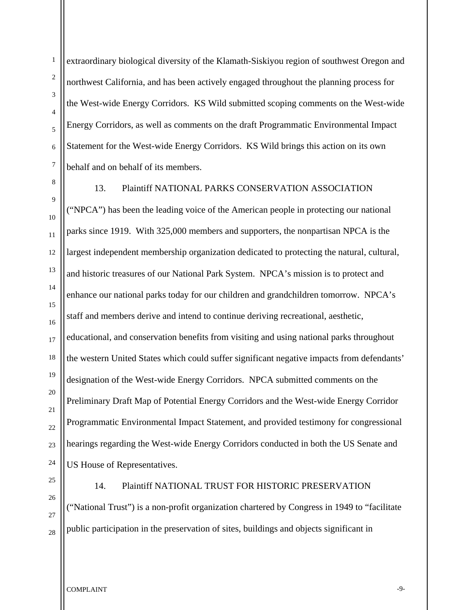extraordinary biological diversity of the Klamath-Siskiyou region of southwest Oregon and northwest California, and has been actively engaged throughout the planning process for the West-wide Energy Corridors. KS Wild submitted scoping comments on the West-wide Energy Corridors, as well as comments on the draft Programmatic Environmental Impact Statement for the West-wide Energy Corridors. KS Wild brings this action on its own behalf and on behalf of its members.

13. Plaintiff NATIONAL PARKS CONSERVATION ASSOCIATION ("NPCA") has been the leading voice of the American people in protecting our national parks since 1919. With 325,000 members and supporters, the nonpartisan NPCA is the largest independent membership organization dedicated to protecting the natural, cultural, and historic treasures of our National Park System. NPCA's mission is to protect and enhance our national parks today for our children and grandchildren tomorrow. NPCA's staff and members derive and intend to continue deriving recreational, aesthetic, educational, and conservation benefits from visiting and using national parks throughout the western United States which could suffer significant negative impacts from defendants' designation of the West-wide Energy Corridors. NPCA submitted comments on the Preliminary Draft Map of Potential Energy Corridors and the West-wide Energy Corridor Programmatic Environmental Impact Statement, and provided testimony for congressional hearings regarding the West-wide Energy Corridors conducted in both the US Senate and US House of Representatives.

25

# 14. Plaintiff NATIONAL TRUST FOR HISTORIC PRESERVATION

("National Trust") is a non-profit organization chartered by Congress in 1949 to "facilitate public participation in the preservation of sites, buildings and objects significant in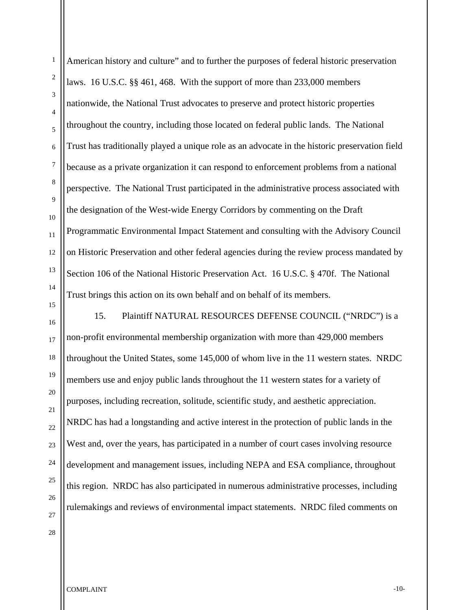American history and culture" and to further the purposes of federal historic preservation laws. 16 U.S.C. §§ 461, 468. With the support of more than 233,000 members nationwide, the National Trust advocates to preserve and protect historic properties throughout the country, including those located on federal public lands. The National Trust has traditionally played a unique role as an advocate in the historic preservation field because as a private organization it can respond to enforcement problems from a national perspective. The National Trust participated in the administrative process associated with the designation of the West-wide Energy Corridors by commenting on the Draft Programmatic Environmental Impact Statement and consulting with the Advisory Council on Historic Preservation and other federal agencies during the review process mandated by Section 106 of the National Historic Preservation Act. 16 U.S.C. § 470f. The National Trust brings this action on its own behalf and on behalf of its members.

15. Plaintiff NATURAL RESOURCES DEFENSE COUNCIL ("NRDC") is a non-profit environmental membership organization with more than 429,000 members throughout the United States, some 145,000 of whom live in the 11 western states. NRDC members use and enjoy public lands throughout the 11 western states for a variety of purposes, including recreation, solitude, scientific study, and aesthetic appreciation. NRDC has had a longstanding and active interest in the protection of public lands in the West and, over the years, has participated in a number of court cases involving resource development and management issues, including NEPA and ESA compliance, throughout this region. NRDC has also participated in numerous administrative processes, including rulemakings and reviews of environmental impact statements. NRDC filed comments on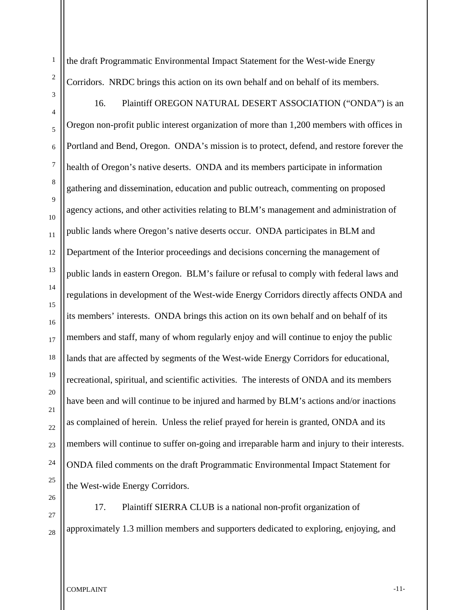the draft Programmatic Environmental Impact Statement for the West-wide Energy Corridors. NRDC brings this action on its own behalf and on behalf of its members.

16. Plaintiff OREGON NATURAL DESERT ASSOCIATION ("ONDA") is an Oregon non-profit public interest organization of more than 1,200 members with offices in Portland and Bend, Oregon. ONDA's mission is to protect, defend, and restore forever the health of Oregon's native deserts. ONDA and its members participate in information gathering and dissemination, education and public outreach, commenting on proposed agency actions, and other activities relating to BLM's management and administration of public lands where Oregon's native deserts occur. ONDA participates in BLM and Department of the Interior proceedings and decisions concerning the management of public lands in eastern Oregon. BLM's failure or refusal to comply with federal laws and regulations in development of the West-wide Energy Corridors directly affects ONDA and its members' interests. ONDA brings this action on its own behalf and on behalf of its members and staff, many of whom regularly enjoy and will continue to enjoy the public lands that are affected by segments of the West-wide Energy Corridors for educational, recreational, spiritual, and scientific activities. The interests of ONDA and its members have been and will continue to be injured and harmed by BLM's actions and/or inactions as complained of herein. Unless the relief prayed for herein is granted, ONDA and its members will continue to suffer on-going and irreparable harm and injury to their interests. ONDA filed comments on the draft Programmatic Environmental Impact Statement for the West-wide Energy Corridors.

17. Plaintiff SIERRA CLUB is a national non-profit organization of approximately 1.3 million members and supporters dedicated to exploring, enjoying, and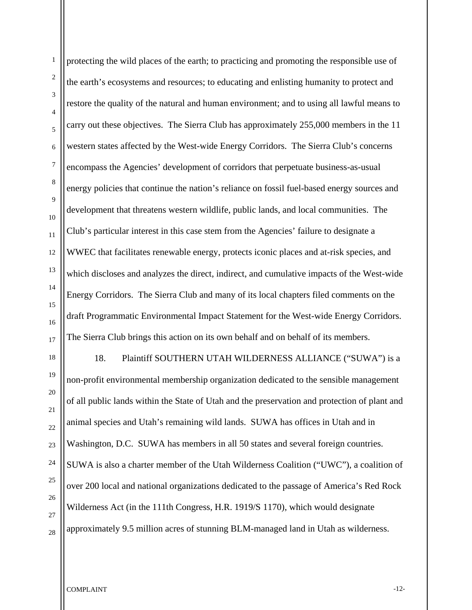1 2 3 4 5 6 7 8 9 10 11 12 13 14 15 16 17 18 19 20 21 22 23 24 25 26 protecting the wild places of the earth; to practicing and promoting the responsible use of the earth's ecosystems and resources; to educating and enlisting humanity to protect and restore the quality of the natural and human environment; and to using all lawful means to carry out these objectives. The Sierra Club has approximately 255,000 members in the 11 western states affected by the West-wide Energy Corridors. The Sierra Club's concerns encompass the Agencies' development of corridors that perpetuate business-as-usual energy policies that continue the nation's reliance on fossil fuel-based energy sources and development that threatens western wildlife, public lands, and local communities. The Club's particular interest in this case stem from the Agencies' failure to designate a WWEC that facilitates renewable energy, protects iconic places and at-risk species, and which discloses and analyzes the direct, indirect, and cumulative impacts of the West-wide Energy Corridors. The Sierra Club and many of its local chapters filed comments on the draft Programmatic Environmental Impact Statement for the West-wide Energy Corridors. The Sierra Club brings this action on its own behalf and on behalf of its members. 18. Plaintiff SOUTHERN UTAH WILDERNESS ALLIANCE ("SUWA") is a non-profit environmental membership organization dedicated to the sensible management of all public lands within the State of Utah and the preservation and protection of plant and animal species and Utah's remaining wild lands. SUWA has offices in Utah and in Washington, D.C. SUWA has members in all 50 states and several foreign countries. SUWA is also a charter member of the Utah Wilderness Coalition ("UWC"), a coalition of over 200 local and national organizations dedicated to the passage of America's Red Rock Wilderness Act (in the 111th Congress, H.R. 1919/S 1170), which would designate

approximately 9.5 million acres of stunning BLM-managed land in Utah as wilderness.

COMPLAINT -12-

27

28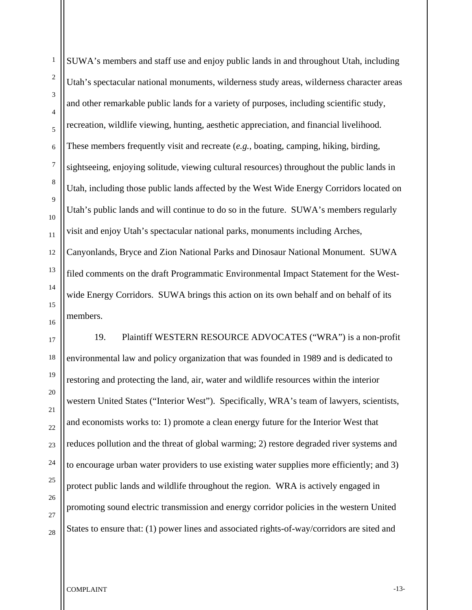SUWA's members and staff use and enjoy public lands in and throughout Utah, including Utah's spectacular national monuments, wilderness study areas, wilderness character areas and other remarkable public lands for a variety of purposes, including scientific study, recreation, wildlife viewing, hunting, aesthetic appreciation, and financial livelihood. These members frequently visit and recreate (*e.g.*, boating, camping, hiking, birding, sightseeing, enjoying solitude, viewing cultural resources) throughout the public lands in Utah, including those public lands affected by the West Wide Energy Corridors located on Utah's public lands and will continue to do so in the future. SUWA's members regularly visit and enjoy Utah's spectacular national parks, monuments including Arches, Canyonlands, Bryce and Zion National Parks and Dinosaur National Monument. SUWA filed comments on the draft Programmatic Environmental Impact Statement for the Westwide Energy Corridors. SUWA brings this action on its own behalf and on behalf of its members.

19. Plaintiff WESTERN RESOURCE ADVOCATES ("WRA") is a non-profit environmental law and policy organization that was founded in 1989 and is dedicated to restoring and protecting the land, air, water and wildlife resources within the interior western United States ("Interior West"). Specifically, WRA's team of lawyers, scientists, and economists works to: 1) promote a clean energy future for the Interior West that reduces pollution and the threat of global warming; 2) restore degraded river systems and to encourage urban water providers to use existing water supplies more efficiently; and 3) protect public lands and wildlife throughout the region. WRA is actively engaged in promoting sound electric transmission and energy corridor policies in the western United States to ensure that: (1) power lines and associated rights-of-way/corridors are sited and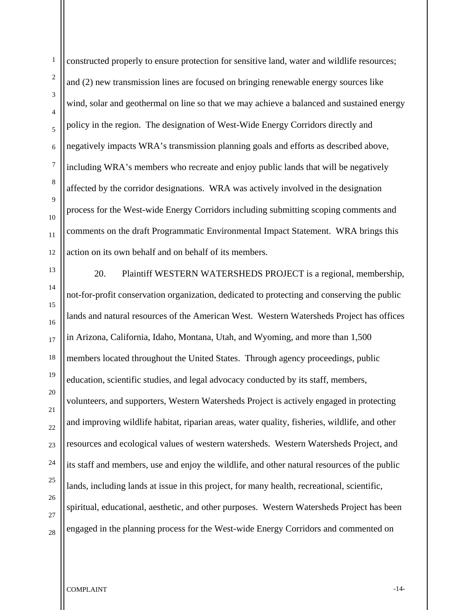1

constructed properly to ensure protection for sensitive land, water and wildlife resources; and (2) new transmission lines are focused on bringing renewable energy sources like wind, solar and geothermal on line so that we may achieve a balanced and sustained energy policy in the region. The designation of West-Wide Energy Corridors directly and negatively impacts WRA's transmission planning goals and efforts as described above, including WRA's members who recreate and enjoy public lands that will be negatively affected by the corridor designations. WRA was actively involved in the designation process for the West-wide Energy Corridors including submitting scoping comments and comments on the draft Programmatic Environmental Impact Statement. WRA brings this action on its own behalf and on behalf of its members.

20. Plaintiff WESTERN WATERSHEDS PROJECT is a regional, membership, not-for-profit conservation organization, dedicated to protecting and conserving the public lands and natural resources of the American West. Western Watersheds Project has offices in Arizona, California, Idaho, Montana, Utah, and Wyoming, and more than 1,500 members located throughout the United States. Through agency proceedings, public education, scientific studies, and legal advocacy conducted by its staff, members, volunteers, and supporters, Western Watersheds Project is actively engaged in protecting and improving wildlife habitat, riparian areas, water quality, fisheries, wildlife, and other resources and ecological values of western watersheds. Western Watersheds Project, and its staff and members, use and enjoy the wildlife, and other natural resources of the public lands, including lands at issue in this project, for many health, recreational, scientific, spiritual, educational, aesthetic, and other purposes. Western Watersheds Project has been engaged in the planning process for the West-wide Energy Corridors and commented on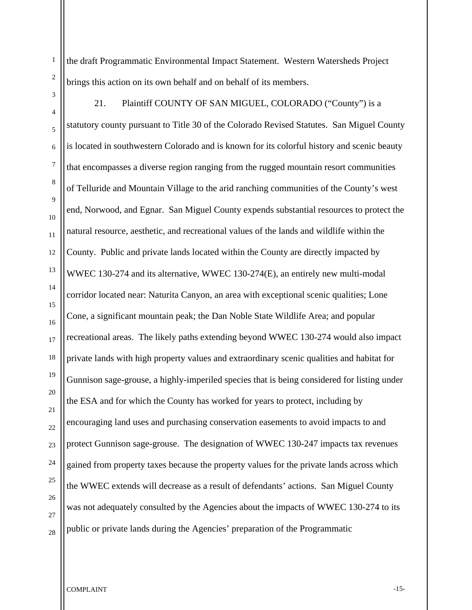1

the draft Programmatic Environmental Impact Statement. Western Watersheds Project brings this action on its own behalf and on behalf of its members.

21. Plaintiff COUNTY OF SAN MIGUEL, COLORADO ("County") is a statutory county pursuant to Title 30 of the Colorado Revised Statutes. San Miguel County is located in southwestern Colorado and is known for its colorful history and scenic beauty that encompasses a diverse region ranging from the rugged mountain resort communities of Telluride and Mountain Village to the arid ranching communities of the County's west end, Norwood, and Egnar. San Miguel County expends substantial resources to protect the natural resource, aesthetic, and recreational values of the lands and wildlife within the County. Public and private lands located within the County are directly impacted by WWEC 130-274 and its alternative, WWEC 130-274(E), an entirely new multi-modal corridor located near: Naturita Canyon, an area with exceptional scenic qualities; Lone Cone, a significant mountain peak; the Dan Noble State Wildlife Area; and popular recreational areas. The likely paths extending beyond WWEC 130-274 would also impact private lands with high property values and extraordinary scenic qualities and habitat for Gunnison sage-grouse, a highly-imperiled species that is being considered for listing under the ESA and for which the County has worked for years to protect, including by encouraging land uses and purchasing conservation easements to avoid impacts to and protect Gunnison sage-grouse. The designation of WWEC 130-247 impacts tax revenues gained from property taxes because the property values for the private lands across which the WWEC extends will decrease as a result of defendants' actions. San Miguel County was not adequately consulted by the Agencies about the impacts of WWEC 130-274 to its public or private lands during the Agencies' preparation of the Programmatic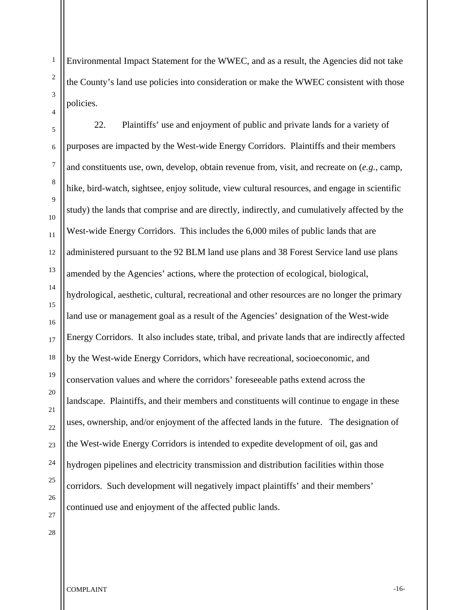1

Environmental Impact Statement for the WWEC, and as a result, the Agencies did not take the County's land use policies into consideration or make the WWEC consistent with those policies.

22. Plaintiffs' use and enjoyment of public and private lands for a variety of purposes are impacted by the West-wide Energy Corridors. Plaintiffs and their members and constituents use, own, develop, obtain revenue from, visit, and recreate on (*e.g.*, camp, hike, bird-watch, sightsee, enjoy solitude, view cultural resources, and engage in scientific study) the lands that comprise and are directly, indirectly, and cumulatively affected by the West-wide Energy Corridors. This includes the 6,000 miles of public lands that are administered pursuant to the 92 BLM land use plans and 38 Forest Service land use plans amended by the Agencies' actions, where the protection of ecological, biological, hydrological, aesthetic, cultural, recreational and other resources are no longer the primary land use or management goal as a result of the Agencies' designation of the West-wide Energy Corridors. It also includes state, tribal, and private lands that are indirectly affected by the West-wide Energy Corridors, which have recreational, socioeconomic, and conservation values and where the corridors' foreseeable paths extend across the landscape. Plaintiffs, and their members and constituents will continue to engage in these uses, ownership, and/or enjoyment of the affected lands in the future. The designation of the West-wide Energy Corridors is intended to expedite development of oil, gas and hydrogen pipelines and electricity transmission and distribution facilities within those corridors. Such development will negatively impact plaintiffs' and their members' continued use and enjoyment of the affected public lands.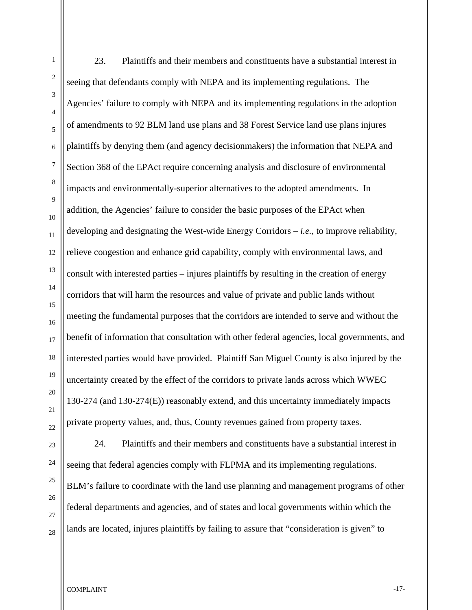1

23. Plaintiffs and their members and constituents have a substantial interest in seeing that defendants comply with NEPA and its implementing regulations. The Agencies' failure to comply with NEPA and its implementing regulations in the adoption of amendments to 92 BLM land use plans and 38 Forest Service land use plans injures plaintiffs by denying them (and agency decisionmakers) the information that NEPA and Section 368 of the EPAct require concerning analysis and disclosure of environmental impacts and environmentally-superior alternatives to the adopted amendments. In addition, the Agencies' failure to consider the basic purposes of the EPAct when developing and designating the West-wide Energy Corridors – *i.e.*, to improve reliability, relieve congestion and enhance grid capability, comply with environmental laws, and consult with interested parties – injures plaintiffs by resulting in the creation of energy corridors that will harm the resources and value of private and public lands without meeting the fundamental purposes that the corridors are intended to serve and without the benefit of information that consultation with other federal agencies, local governments, and interested parties would have provided. Plaintiff San Miguel County is also injured by the uncertainty created by the effect of the corridors to private lands across which WWEC 130-274 (and 130-274(E)) reasonably extend, and this uncertainty immediately impacts private property values, and, thus, County revenues gained from property taxes.

24. Plaintiffs and their members and constituents have a substantial interest in seeing that federal agencies comply with FLPMA and its implementing regulations. BLM's failure to coordinate with the land use planning and management programs of other federal departments and agencies, and of states and local governments within which the lands are located, injures plaintiffs by failing to assure that "consideration is given" to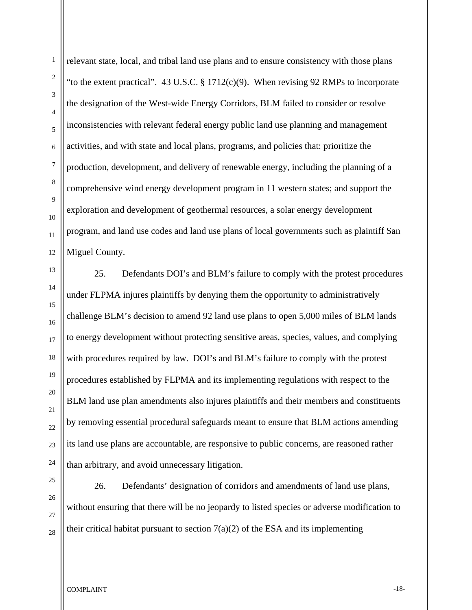1

relevant state, local, and tribal land use plans and to ensure consistency with those plans "to the extent practical". 43 U.S.C. § 1712(c)(9). When revising 92 RMPs to incorporate the designation of the West-wide Energy Corridors, BLM failed to consider or resolve inconsistencies with relevant federal energy public land use planning and management activities, and with state and local plans, programs, and policies that: prioritize the production, development, and delivery of renewable energy, including the planning of a comprehensive wind energy development program in 11 western states; and support the exploration and development of geothermal resources, a solar energy development program, and land use codes and land use plans of local governments such as plaintiff San Miguel County.

25. Defendants DOI's and BLM's failure to comply with the protest procedures under FLPMA injures plaintiffs by denying them the opportunity to administratively challenge BLM's decision to amend 92 land use plans to open 5,000 miles of BLM lands to energy development without protecting sensitive areas, species, values, and complying with procedures required by law. DOI's and BLM's failure to comply with the protest procedures established by FLPMA and its implementing regulations with respect to the BLM land use plan amendments also injures plaintiffs and their members and constituents by removing essential procedural safeguards meant to ensure that BLM actions amending its land use plans are accountable, are responsive to public concerns, are reasoned rather than arbitrary, and avoid unnecessary litigation.

26. Defendants' designation of corridors and amendments of land use plans, without ensuring that there will be no jeopardy to listed species or adverse modification to their critical habitat pursuant to section  $7(a)(2)$  of the ESA and its implementing

COMPLAINT -18-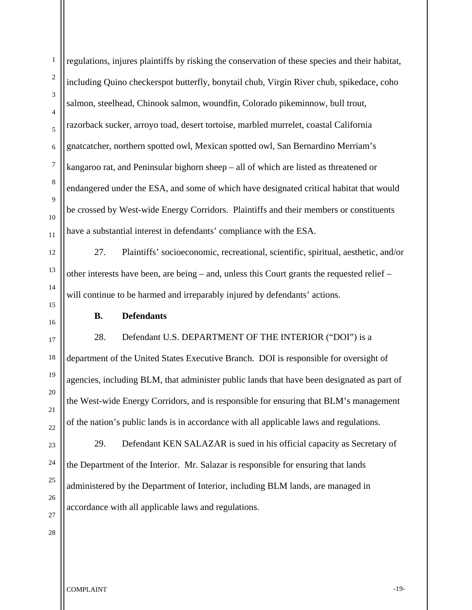regulations, injures plaintiffs by risking the conservation of these species and their habitat, including Quino checkerspot butterfly, bonytail chub, Virgin River chub, spikedace, coho salmon, steelhead, Chinook salmon, woundfin, Colorado pikeminnow, bull trout, razorback sucker, arroyo toad, desert tortoise, marbled murrelet, coastal California gnatcatcher, northern spotted owl, Mexican spotted owl, San Bernardino Merriam's kangaroo rat, and Peninsular bighorn sheep – all of which are listed as threatened or endangered under the ESA, and some of which have designated critical habitat that would be crossed by West-wide Energy Corridors. Plaintiffs and their members or constituents have a substantial interest in defendants' compliance with the ESA.

27. Plaintiffs' socioeconomic, recreational, scientific, spiritual, aesthetic, and/or other interests have been, are being – and, unless this Court grants the requested relief – will continue to be harmed and irreparably injured by defendants' actions.

#### **B. Defendants**

 28. Defendant U.S. DEPARTMENT OF THE INTERIOR ("DOI") is a department of the United States Executive Branch. DOI is responsible for oversight of agencies, including BLM, that administer public lands that have been designated as part of the West-wide Energy Corridors, and is responsible for ensuring that BLM's management of the nation's public lands is in accordance with all applicable laws and regulations.

29. Defendant KEN SALAZAR is sued in his official capacity as Secretary of the Department of the Interior. Mr. Salazar is responsible for ensuring that lands administered by the Department of Interior, including BLM lands, are managed in accordance with all applicable laws and regulations.

COMPLAINT -19-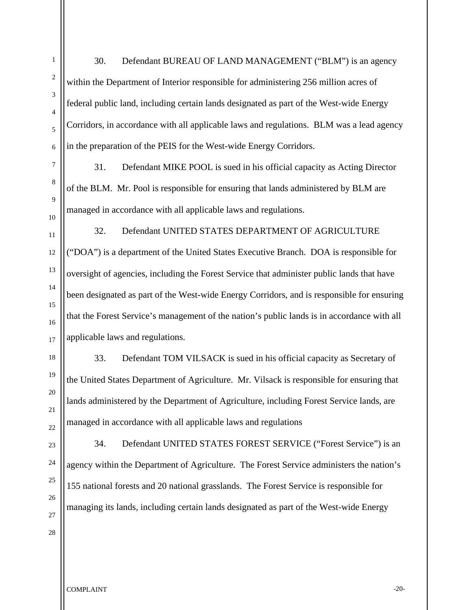30. Defendant BUREAU OF LAND MANAGEMENT ("BLM") is an agency within the Department of Interior responsible for administering 256 million acres of federal public land, including certain lands designated as part of the West-wide Energy Corridors, in accordance with all applicable laws and regulations. BLM was a lead agency in the preparation of the PEIS for the West-wide Energy Corridors.

31. Defendant MIKE POOL is sued in his official capacity as Acting Director of the BLM. Mr. Pool is responsible for ensuring that lands administered by BLM are managed in accordance with all applicable laws and regulations.

32. Defendant UNITED STATES DEPARTMENT OF AGRICULTURE ("DOA") is a department of the United States Executive Branch. DOA is responsible for oversight of agencies, including the Forest Service that administer public lands that have been designated as part of the West-wide Energy Corridors, and is responsible for ensuring that the Forest Service's management of the nation's public lands is in accordance with all applicable laws and regulations.

33. Defendant TOM VILSACK is sued in his official capacity as Secretary of the United States Department of Agriculture. Mr. Vilsack is responsible for ensuring that lands administered by the Department of Agriculture, including Forest Service lands, are managed in accordance with all applicable laws and regulations

34. Defendant UNITED STATES FOREST SERVICE ("Forest Service") is an agency within the Department of Agriculture. The Forest Service administers the nation's 155 national forests and 20 national grasslands. The Forest Service is responsible for managing its lands, including certain lands designated as part of the West-wide Energy

COMPLAINT THE COMPLAINT SERVICE OF THE COMPLAINT SERVICE OF THE COMPLAINT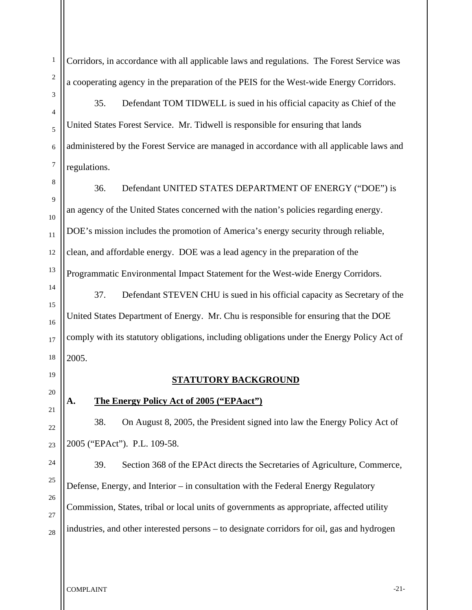Corridors, in accordance with all applicable laws and regulations. The Forest Service was a cooperating agency in the preparation of the PEIS for the West-wide Energy Corridors.

35. Defendant TOM TIDWELL is sued in his official capacity as Chief of the United States Forest Service. Mr. Tidwell is responsible for ensuring that lands administered by the Forest Service are managed in accordance with all applicable laws and regulations.

36. Defendant UNITED STATES DEPARTMENT OF ENERGY ("DOE") is an agency of the United States concerned with the nation's policies regarding energy. DOE's mission includes the promotion of America's energy security through reliable, clean, and affordable energy. DOE was a lead agency in the preparation of the Programmatic Environmental Impact Statement for the West-wide Energy Corridors.

37. Defendant STEVEN CHU is sued in his official capacity as Secretary of the United States Department of Energy. Mr. Chu is responsible for ensuring that the DOE comply with its statutory obligations, including obligations under the Energy Policy Act of 2005.

#### **STATUTORY BACKGROUND**

### **A. The Energy Policy Act of 2005 ("EPAact")**

38. On August 8, 2005, the President signed into law the Energy Policy Act of 2005 ("EPAct"). P.L. 109-58.

39. Section 368 of the EPAct directs the Secretaries of Agriculture, Commerce, Defense, Energy, and Interior – in consultation with the Federal Energy Regulatory Commission, States, tribal or local units of governments as appropriate, affected utility industries, and other interested persons – to designate corridors for oil, gas and hydrogen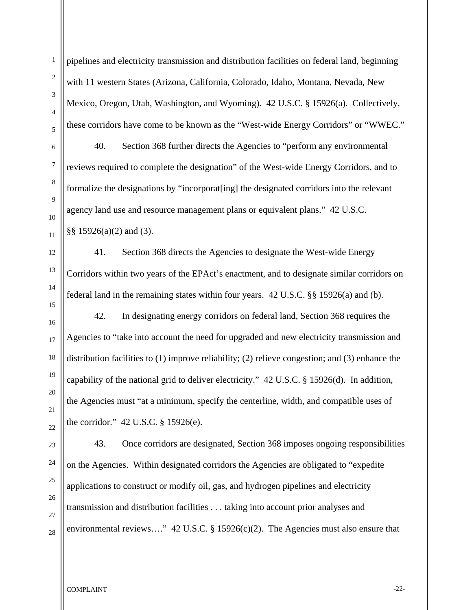pipelines and electricity transmission and distribution facilities on federal land, beginning with 11 western States (Arizona, California, Colorado, Idaho, Montana, Nevada, New Mexico, Oregon, Utah, Washington, and Wyoming). 42 U.S.C. § 15926(a). Collectively, these corridors have come to be known as the "West-wide Energy Corridors" or "WWEC."

40. Section 368 further directs the Agencies to "perform any environmental reviews required to complete the designation" of the West-wide Energy Corridors, and to formalize the designations by "incorporat[ing] the designated corridors into the relevant agency land use and resource management plans or equivalent plans." 42 U.S.C. §§ 15926(a)(2) and (3).

41. Section 368 directs the Agencies to designate the West-wide Energy Corridors within two years of the EPAct's enactment, and to designate similar corridors on federal land in the remaining states within four years. 42 U.S.C. §§ 15926(a) and (b).

42. In designating energy corridors on federal land, Section 368 requires the Agencies to "take into account the need for upgraded and new electricity transmission and distribution facilities to (1) improve reliability; (2) relieve congestion; and (3) enhance the capability of the national grid to deliver electricity." 42 U.S.C. § 15926(d). In addition, the Agencies must "at a minimum, specify the centerline, width, and compatible uses of the corridor." 42 U.S.C. § 15926(e).

43. Once corridors are designated, Section 368 imposes ongoing responsibilities on the Agencies. Within designated corridors the Agencies are obligated to "expedite applications to construct or modify oil, gas, and hydrogen pipelines and electricity transmission and distribution facilities . . . taking into account prior analyses and environmental reviews...." 42 U.S.C. § 15926(c)(2). The Agencies must also ensure that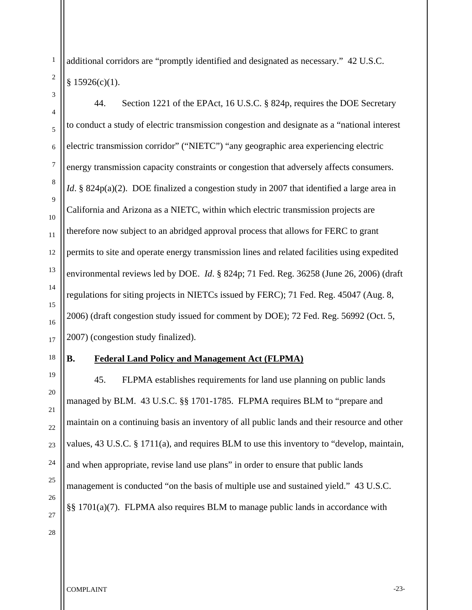1

additional corridors are "promptly identified and designated as necessary." 42 U.S.C.  $§ 15926(c)(1).$ 

44. Section 1221 of the EPAct, 16 U.S.C. § 824p, requires the DOE Secretary to conduct a study of electric transmission congestion and designate as a "national interest electric transmission corridor" ("NIETC") "any geographic area experiencing electric energy transmission capacity constraints or congestion that adversely affects consumers. *Id*. § 824p(a)(2). DOE finalized a congestion study in 2007 that identified a large area in California and Arizona as a NIETC, within which electric transmission projects are therefore now subject to an abridged approval process that allows for FERC to grant permits to site and operate energy transmission lines and related facilities using expedited environmental reviews led by DOE. *Id*. § 824p; 71 Fed. Reg. 36258 (June 26, 2006) (draft regulations for siting projects in NIETCs issued by FERC); 71 Fed. Reg. 45047 (Aug. 8, 2006) (draft congestion study issued for comment by DOE); 72 Fed. Reg. 56992 (Oct. 5, 2007) (congestion study finalized).

#### **B. Federal Land Policy and Management Act (FLPMA)**

 45. FLPMA establishes requirements for land use planning on public lands managed by BLM. 43 U.S.C. §§ 1701-1785. FLPMA requires BLM to "prepare and maintain on a continuing basis an inventory of all public lands and their resource and other values, 43 U.S.C. § 1711(a), and requires BLM to use this inventory to "develop, maintain, and when appropriate, revise land use plans" in order to ensure that public lands management is conducted "on the basis of multiple use and sustained yield." 43 U.S.C. §§ 1701(a)(7). FLPMA also requires BLM to manage public lands in accordance with

COMPLAINT <sup>23-1</sup>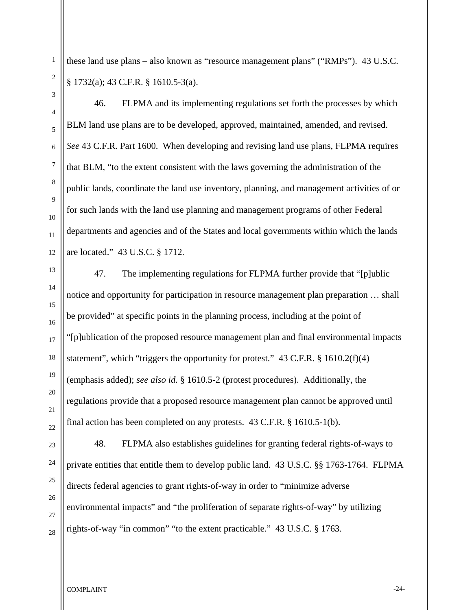these land use plans – also known as "resource management plans" ("RMPs"). 43 U.S.C. § 1732(a); 43 C.F.R. § 1610.5-3(a).

1

 46. FLPMA and its implementing regulations set forth the processes by which BLM land use plans are to be developed, approved, maintained, amended, and revised. *See* 43 C.F.R. Part 1600. When developing and revising land use plans, FLPMA requires that BLM, "to the extent consistent with the laws governing the administration of the public lands, coordinate the land use inventory, planning, and management activities of or for such lands with the land use planning and management programs of other Federal departments and agencies and of the States and local governments within which the lands are located." 43 U.S.C. § 1712.

 47. The implementing regulations for FLPMA further provide that "[p]ublic notice and opportunity for participation in resource management plan preparation … shall be provided" at specific points in the planning process, including at the point of "[p]ublication of the proposed resource management plan and final environmental impacts statement", which "triggers the opportunity for protest." 43 C.F.R. § 1610.2(f)(4) (emphasis added); *see also id.* § 1610.5-2 (protest procedures). Additionally, the regulations provide that a proposed resource management plan cannot be approved until final action has been completed on any protests. 43 C.F.R. § 1610.5-1(b).

 48. FLPMA also establishes guidelines for granting federal rights-of-ways to private entities that entitle them to develop public land. 43 U.S.C. §§ 1763-1764. FLPMA directs federal agencies to grant rights-of-way in order to "minimize adverse environmental impacts" and "the proliferation of separate rights-of-way" by utilizing rights-of-way "in common" "to the extent practicable." 43 U.S.C. § 1763.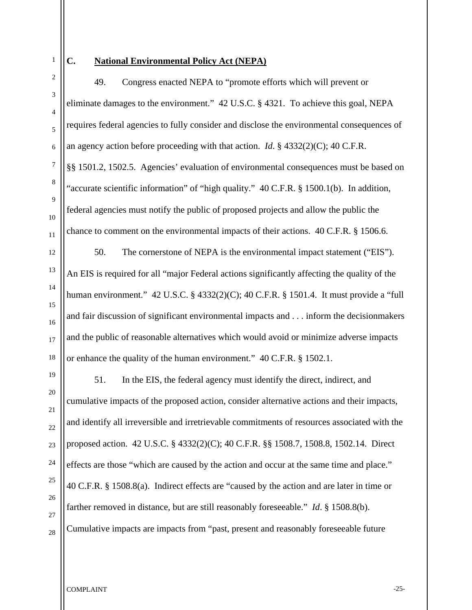3

4

5

6

7

8

9

10

11

12

13

14

15

16

17

18

19

20

21

22

23

24

25

26

27

28

# **C. National Environmental Policy Act (NEPA)**

49. Congress enacted NEPA to "promote efforts which will prevent or eliminate damages to the environment." 42 U.S.C. § 4321. To achieve this goal, NEPA requires federal agencies to fully consider and disclose the environmental consequences of an agency action before proceeding with that action. *Id*. § 4332(2)(C); 40 C.F.R. §§ 1501.2, 1502.5. Agencies' evaluation of environmental consequences must be based on "accurate scientific information" of "high quality." 40 C.F.R. § 1500.1(b). In addition, federal agencies must notify the public of proposed projects and allow the public the chance to comment on the environmental impacts of their actions. 40 C.F.R. § 1506.6.

50. The cornerstone of NEPA is the environmental impact statement ("EIS"). An EIS is required for all "major Federal actions significantly affecting the quality of the human environment." 42 U.S.C. § 4332(2)(C); 40 C.F.R. § 1501.4. It must provide a "full and fair discussion of significant environmental impacts and . . . inform the decisionmakers and the public of reasonable alternatives which would avoid or minimize adverse impacts or enhance the quality of the human environment." 40 C.F.R. § 1502.1.

51. In the EIS, the federal agency must identify the direct, indirect, and cumulative impacts of the proposed action, consider alternative actions and their impacts, and identify all irreversible and irretrievable commitments of resources associated with the proposed action. 42 U.S.C. § 4332(2)(C); 40 C.F.R. §§ 1508.7, 1508.8, 1502.14. Direct effects are those "which are caused by the action and occur at the same time and place." 40 C.F.R. § 1508.8(a). Indirect effects are "caused by the action and are later in time or farther removed in distance, but are still reasonably foreseeable." *Id*. § 1508.8(b). Cumulative impacts are impacts from "past, present and reasonably foreseeable future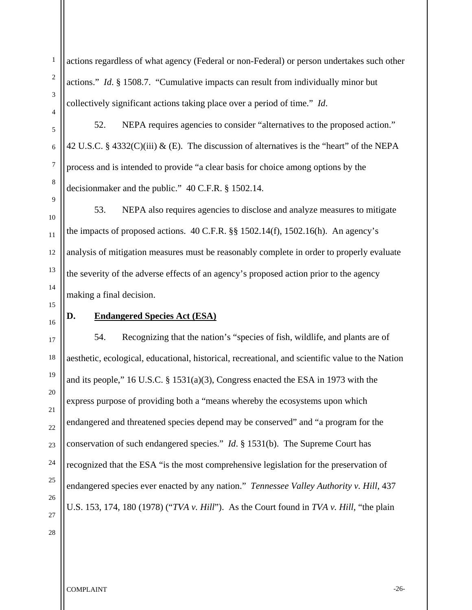actions regardless of what agency (Federal or non-Federal) or person undertakes such other actions." *Id*. § 1508.7. "Cumulative impacts can result from individually minor but collectively significant actions taking place over a period of time." *Id*.

52. NEPA requires agencies to consider "alternatives to the proposed action." 42 U.S.C. § 4332(C)(iii) & (E). The discussion of alternatives is the "heart" of the NEPA process and is intended to provide "a clear basis for choice among options by the decisionmaker and the public." 40 C.F.R. § 1502.14.

53. NEPA also requires agencies to disclose and analyze measures to mitigate the impacts of proposed actions. 40 C.F.R. §§ 1502.14(f), 1502.16(h). An agency's analysis of mitigation measures must be reasonably complete in order to properly evaluate the severity of the adverse effects of an agency's proposed action prior to the agency making a final decision.

#### **D. Endangered Species Act (ESA)**

54. Recognizing that the nation's "species of fish, wildlife, and plants are of aesthetic, ecological, educational, historical, recreational, and scientific value to the Nation and its people," 16 U.S.C. § 1531(a)(3), Congress enacted the ESA in 1973 with the express purpose of providing both a "means whereby the ecosystems upon which endangered and threatened species depend may be conserved" and "a program for the conservation of such endangered species." *Id*. § 1531(b). The Supreme Court has recognized that the ESA "is the most comprehensive legislation for the preservation of endangered species ever enacted by any nation." *Tennessee Valley Authority v. Hill*, 437 U.S. 153, 174, 180 (1978) ("*TVA v. Hill*"). As the Court found in *TVA v. Hill*, "the plain

1

2

COMPLAINT TURNS AND THE SERVICE OF THE SERVICE OF THE SERVICE OF THE SERVICE OF THE SERVICE OF THE SERVICE OF THE SERVICE OF THE SERVICE OF THE SERVICE OF THE SERVICE OF THE SERVICE OF THE SERVICE OF THE SERVICE OF THE SER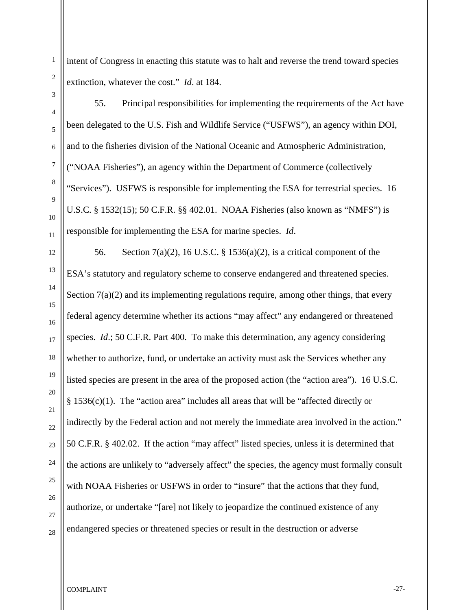1

intent of Congress in enacting this statute was to halt and reverse the trend toward species extinction, whatever the cost." *Id*. at 184.

55. Principal responsibilities for implementing the requirements of the Act have been delegated to the U.S. Fish and Wildlife Service ("USFWS"), an agency within DOI, and to the fisheries division of the National Oceanic and Atmospheric Administration, ("NOAA Fisheries"), an agency within the Department of Commerce (collectively "Services"). USFWS is responsible for implementing the ESA for terrestrial species. 16 U.S.C. § 1532(15); 50 C.F.R. §§ 402.01. NOAA Fisheries (also known as "NMFS") is responsible for implementing the ESA for marine species. *Id*.

56. Section 7(a)(2), 16 U.S.C. § 1536(a)(2), is a critical component of the ESA's statutory and regulatory scheme to conserve endangered and threatened species. Section  $7(a)(2)$  and its implementing regulations require, among other things, that every federal agency determine whether its actions "may affect" any endangered or threatened species. *Id*.; 50 C.F.R. Part 400. To make this determination, any agency considering whether to authorize, fund, or undertake an activity must ask the Services whether any listed species are present in the area of the proposed action (the "action area"). 16 U.S.C. § 1536(c)(1). The "action area" includes all areas that will be "affected directly or indirectly by the Federal action and not merely the immediate area involved in the action." 50 C.F.R. § 402.02. If the action "may affect" listed species, unless it is determined that the actions are unlikely to "adversely affect" the species, the agency must formally consult with NOAA Fisheries or USFWS in order to "insure" that the actions that they fund, authorize, or undertake "[are] not likely to jeopardize the continued existence of any endangered species or threatened species or result in the destruction or adverse

COMPLAINT TURNS AND THE SERVICE OF THE SERVICE OF THE SERVICE OF THE SERVICE OF THE SERVICE OF THE SERVICE OF THE SERVICE OF THE SERVICE OF THE SERVICE OF THE SERVICE OF THE SERVICE OF THE SERVICE OF THE SERVICE OF THE SER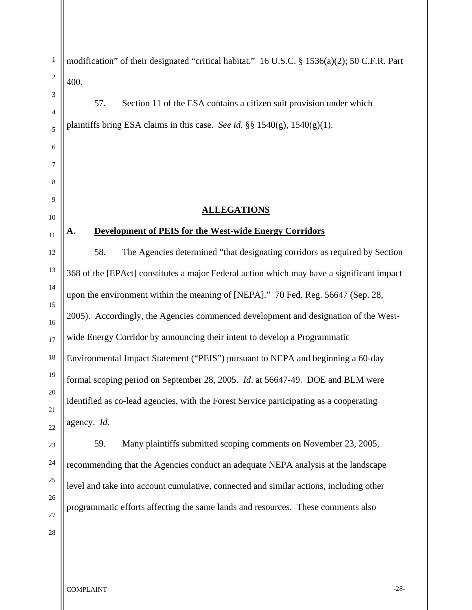1 2 3 4 5 6 7 8 9 10 11 12 13 14 15 16 17 18 19 20 21 22 23 24 25 26 27 28 modification" of their designated "critical habitat." 16 U.S.C. § 1536(a)(2); 50 C.F.R. Part 400. 57. Section 11 of the ESA contains a citizen suit provision under which plaintiffs bring ESA claims in this case. *See id.* §§  $1540(g)$ ,  $1540(g)(1)$ . **ALLEGATIONS A. Development of PEIS for the West-wide Energy Corridors** 58. The Agencies determined "that designating corridors as required by Section 368 of the [EPAct] constitutes a major Federal action which may have a significant impact upon the environment within the meaning of [NEPA]." 70 Fed. Reg. 56647 (Sep. 28, 2005). Accordingly, the Agencies commenced development and designation of the Westwide Energy Corridor by announcing their intent to develop a Programmatic Environmental Impact Statement ("PEIS") pursuant to NEPA and beginning a 60-day formal scoping period on September 28, 2005. *Id*. at 56647-49. DOE and BLM were identified as co-lead agencies, with the Forest Service participating as a cooperating agency. *Id*. 59. Many plaintiffs submitted scoping comments on November 23, 2005, recommending that the Agencies conduct an adequate NEPA analysis at the landscape level and take into account cumulative, connected and similar actions, including other programmatic efforts affecting the same lands and resources. These comments also

COMPLAINT TURNS AND THE SERVICE OF THE SERVICE OF THE SERVICE OF THE SERVICE OF THE SERVICE OF THE SERVICE OF THE SERVICE OF THE SERVICE OF THE SERVICE OF THE SERVICE OF THE SERVICE OF THE SERVICE OF THE SERVICE OF THE SER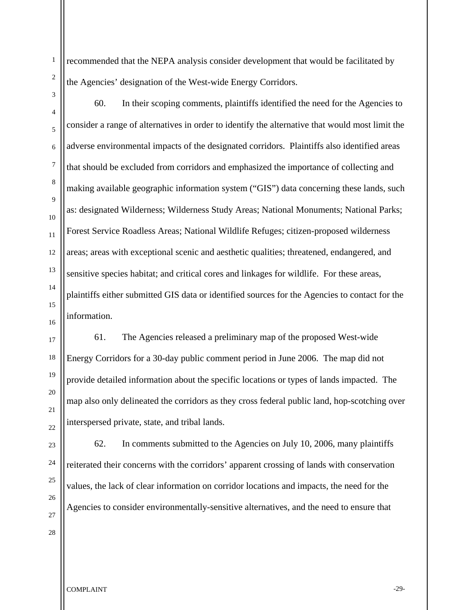recommended that the NEPA analysis consider development that would be facilitated by the Agencies' designation of the West-wide Energy Corridors.

1

2

3

4

5

6

7

8

9

10

11

12

13

14

60. In their scoping comments, plaintiffs identified the need for the Agencies to consider a range of alternatives in order to identify the alternative that would most limit the adverse environmental impacts of the designated corridors. Plaintiffs also identified areas that should be excluded from corridors and emphasized the importance of collecting and making available geographic information system ("GIS") data concerning these lands, such as: designated Wilderness; Wilderness Study Areas; National Monuments; National Parks; Forest Service Roadless Areas; National Wildlife Refuges; citizen-proposed wilderness areas; areas with exceptional scenic and aesthetic qualities; threatened, endangered, and sensitive species habitat; and critical cores and linkages for wildlife. For these areas, plaintiffs either submitted GIS data or identified sources for the Agencies to contact for the information.

61. The Agencies released a preliminary map of the proposed West-wide Energy Corridors for a 30-day public comment period in June 2006. The map did not provide detailed information about the specific locations or types of lands impacted. The map also only delineated the corridors as they cross federal public land, hop-scotching over interspersed private, state, and tribal lands.

62. In comments submitted to the Agencies on July 10, 2006, many plaintiffs reiterated their concerns with the corridors' apparent crossing of lands with conservation values, the lack of clear information on corridor locations and impacts, the need for the Agencies to consider environmentally-sensitive alternatives, and the need to ensure that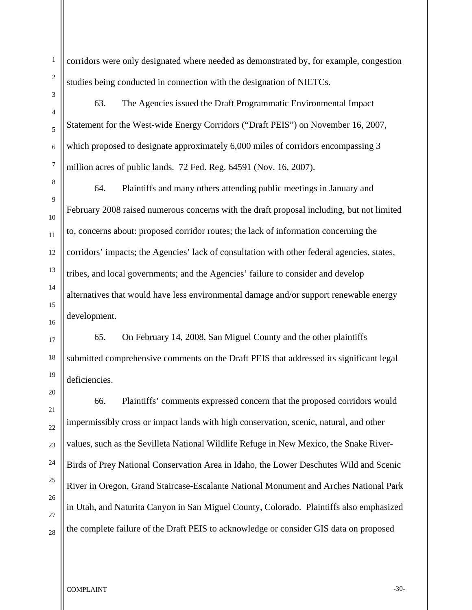corridors were only designated where needed as demonstrated by, for example, congestion studies being conducted in connection with the designation of NIETCs.

63. The Agencies issued the Draft Programmatic Environmental Impact Statement for the West-wide Energy Corridors ("Draft PEIS") on November 16, 2007, which proposed to designate approximately 6,000 miles of corridors encompassing 3 million acres of public lands. 72 Fed. Reg. 64591 (Nov. 16, 2007).

64. Plaintiffs and many others attending public meetings in January and February 2008 raised numerous concerns with the draft proposal including, but not limited to, concerns about: proposed corridor routes; the lack of information concerning the corridors' impacts; the Agencies' lack of consultation with other federal agencies, states, tribes, and local governments; and the Agencies' failure to consider and develop alternatives that would have less environmental damage and/or support renewable energy development.

65. On February 14, 2008, San Miguel County and the other plaintiffs submitted comprehensive comments on the Draft PEIS that addressed its significant legal deficiencies.

66. Plaintiffs' comments expressed concern that the proposed corridors would impermissibly cross or impact lands with high conservation, scenic, natural, and other values, such as the Sevilleta National Wildlife Refuge in New Mexico, the Snake River-Birds of Prey National Conservation Area in Idaho, the Lower Deschutes Wild and Scenic River in Oregon, Grand Staircase-Escalante National Monument and Arches National Park in Utah, and Naturita Canyon in San Miguel County, Colorado. Plaintiffs also emphasized the complete failure of the Draft PEIS to acknowledge or consider GIS data on proposed

1

COMPLAINT  $\sim$  30-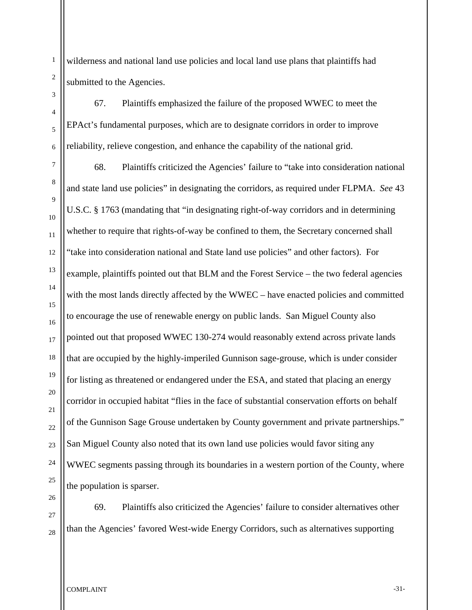1

wilderness and national land use policies and local land use plans that plaintiffs had submitted to the Agencies.

67. Plaintiffs emphasized the failure of the proposed WWEC to meet the EPAct's fundamental purposes, which are to designate corridors in order to improve reliability, relieve congestion, and enhance the capability of the national grid.

68. Plaintiffs criticized the Agencies' failure to "take into consideration national and state land use policies" in designating the corridors, as required under FLPMA. *See* 43 U.S.C. § 1763 (mandating that "in designating right-of-way corridors and in determining whether to require that rights-of-way be confined to them, the Secretary concerned shall "take into consideration national and State land use policies" and other factors). For example, plaintiffs pointed out that BLM and the Forest Service – the two federal agencies with the most lands directly affected by the WWEC – have enacted policies and committed to encourage the use of renewable energy on public lands. San Miguel County also pointed out that proposed WWEC 130-274 would reasonably extend across private lands that are occupied by the highly-imperiled Gunnison sage-grouse, which is under consider for listing as threatened or endangered under the ESA, and stated that placing an energy corridor in occupied habitat "flies in the face of substantial conservation efforts on behalf of the Gunnison Sage Grouse undertaken by County government and private partnerships." San Miguel County also noted that its own land use policies would favor siting any WWEC segments passing through its boundaries in a western portion of the County, where the population is sparser.

69. Plaintiffs also criticized the Agencies' failure to consider alternatives other than the Agencies' favored West-wide Energy Corridors, such as alternatives supporting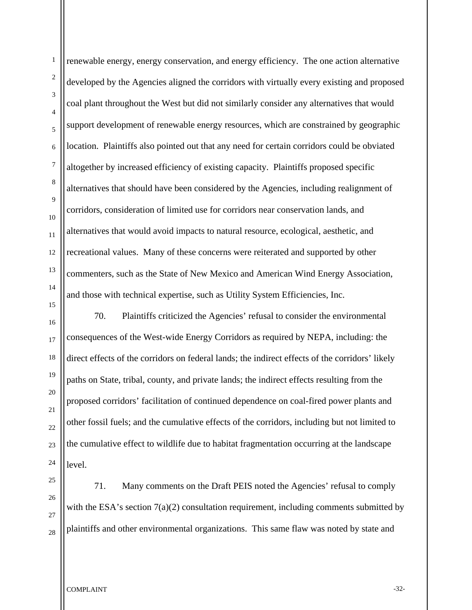renewable energy, energy conservation, and energy efficiency. The one action alternative developed by the Agencies aligned the corridors with virtually every existing and proposed coal plant throughout the West but did not similarly consider any alternatives that would support development of renewable energy resources, which are constrained by geographic location. Plaintiffs also pointed out that any need for certain corridors could be obviated altogether by increased efficiency of existing capacity. Plaintiffs proposed specific alternatives that should have been considered by the Agencies, including realignment of corridors, consideration of limited use for corridors near conservation lands, and alternatives that would avoid impacts to natural resource, ecological, aesthetic, and recreational values. Many of these concerns were reiterated and supported by other commenters, such as the State of New Mexico and American Wind Energy Association, and those with technical expertise, such as Utility System Efficiencies, Inc.

70. Plaintiffs criticized the Agencies' refusal to consider the environmental consequences of the West-wide Energy Corridors as required by NEPA, including: the direct effects of the corridors on federal lands; the indirect effects of the corridors' likely paths on State, tribal, county, and private lands; the indirect effects resulting from the proposed corridors' facilitation of continued dependence on coal-fired power plants and other fossil fuels; and the cumulative effects of the corridors, including but not limited to the cumulative effect to wildlife due to habitat fragmentation occurring at the landscape level.

71. Many comments on the Draft PEIS noted the Agencies' refusal to comply with the ESA's section  $7(a)(2)$  consultation requirement, including comments submitted by plaintiffs and other environmental organizations. This same flaw was noted by state and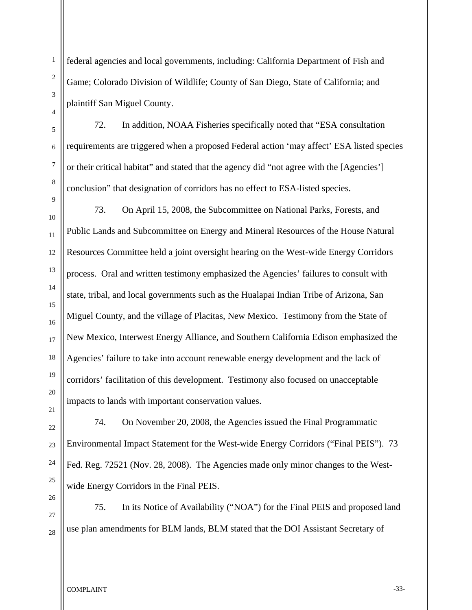federal agencies and local governments, including: California Department of Fish and Game; Colorado Division of Wildlife; County of San Diego, State of California; and plaintiff San Miguel County.

72. In addition, NOAA Fisheries specifically noted that "ESA consultation requirements are triggered when a proposed Federal action 'may affect' ESA listed species or their critical habitat" and stated that the agency did "not agree with the [Agencies'] conclusion" that designation of corridors has no effect to ESA-listed species.

73. On April 15, 2008, the Subcommittee on National Parks, Forests, and Public Lands and Subcommittee on Energy and Mineral Resources of the House Natural Resources Committee held a joint oversight hearing on the West-wide Energy Corridors process. Oral and written testimony emphasized the Agencies' failures to consult with state, tribal, and local governments such as the Hualapai Indian Tribe of Arizona, San Miguel County, and the village of Placitas, New Mexico. Testimony from the State of New Mexico, Interwest Energy Alliance, and Southern California Edison emphasized the Agencies' failure to take into account renewable energy development and the lack of corridors' facilitation of this development. Testimony also focused on unacceptable impacts to lands with important conservation values.

74. On November 20, 2008, the Agencies issued the Final Programmatic Environmental Impact Statement for the West-wide Energy Corridors ("Final PEIS"). 73 Fed. Reg. 72521 (Nov. 28, 2008). The Agencies made only minor changes to the Westwide Energy Corridors in the Final PEIS.

75. In its Notice of Availability ("NOA") for the Final PEIS and proposed land use plan amendments for BLM lands, BLM stated that the DOI Assistant Secretary of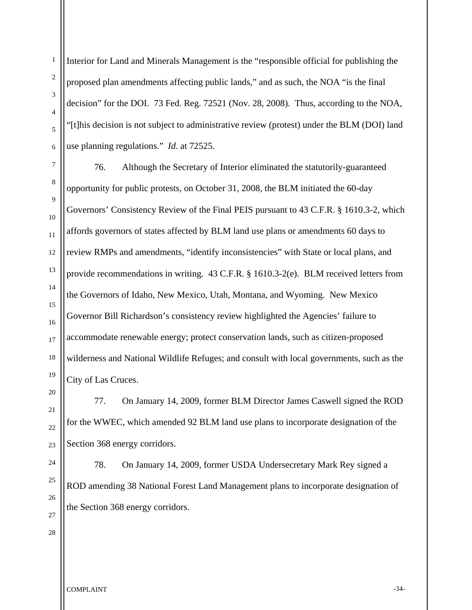Interior for Land and Minerals Management is the "responsible official for publishing the proposed plan amendments affecting public lands," and as such, the NOA "is the final decision" for the DOI. 73 Fed. Reg. 72521 (Nov. 28, 2008). Thus, according to the NOA, "[t]his decision is not subject to administrative review (protest) under the BLM (DOI) land use planning regulations." *Id*. at 72525.

76. Although the Secretary of Interior eliminated the statutorily-guaranteed opportunity for public protests, on October 31, 2008, the BLM initiated the 60-day Governors' Consistency Review of the Final PEIS pursuant to 43 C.F.R. § 1610.3-2, which affords governors of states affected by BLM land use plans or amendments 60 days to review RMPs and amendments, "identify inconsistencies" with State or local plans, and provide recommendations in writing. 43 C.F.R. § 1610.3-2(e). BLM received letters from the Governors of Idaho, New Mexico, Utah, Montana, and Wyoming. New Mexico Governor Bill Richardson's consistency review highlighted the Agencies' failure to accommodate renewable energy; protect conservation lands, such as citizen-proposed wilderness and National Wildlife Refuges; and consult with local governments, such as the City of Las Cruces.

77. On January 14, 2009, former BLM Director James Caswell signed the ROD for the WWEC, which amended 92 BLM land use plans to incorporate designation of the Section 368 energy corridors.

78. On January 14, 2009, former USDA Undersecretary Mark Rey signed a ROD amending 38 National Forest Land Management plans to incorporate designation of the Section 368 energy corridors.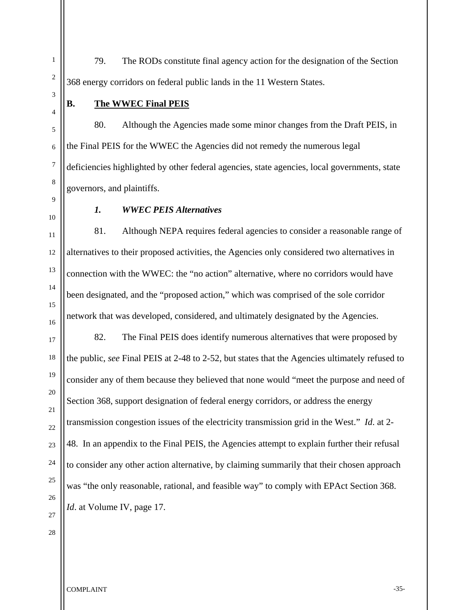79. The RODs constitute final agency action for the designation of the Section 368 energy corridors on federal public lands in the 11 Western States.

1

2

3

4

5

6

7

8

9

10

11

12

13

# **B. The WWEC Final PEIS**

80. Although the Agencies made some minor changes from the Draft PEIS, in the Final PEIS for the WWEC the Agencies did not remedy the numerous legal deficiencies highlighted by other federal agencies, state agencies, local governments, state governors, and plaintiffs.

#### *1. WWEC PEIS Alternatives*

81. Although NEPA requires federal agencies to consider a reasonable range of alternatives to their proposed activities, the Agencies only considered two alternatives in connection with the WWEC: the "no action" alternative, where no corridors would have been designated, and the "proposed action," which was comprised of the sole corridor network that was developed, considered, and ultimately designated by the Agencies.

82. The Final PEIS does identify numerous alternatives that were proposed by the public, *see* Final PEIS at 2-48 to 2-52, but states that the Agencies ultimately refused to consider any of them because they believed that none would "meet the purpose and need of Section 368, support designation of federal energy corridors, or address the energy transmission congestion issues of the electricity transmission grid in the West." *Id*. at 2- 48. In an appendix to the Final PEIS, the Agencies attempt to explain further their refusal to consider any other action alternative, by claiming summarily that their chosen approach was "the only reasonable, rational, and feasible way" to comply with EPAct Section 368. *Id.* at Volume IV, page 17.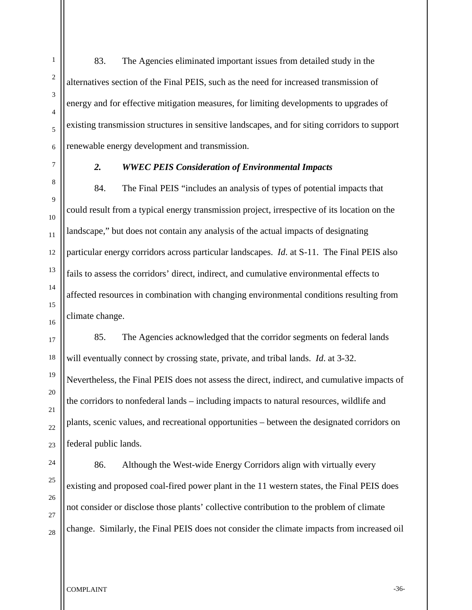83. The Agencies eliminated important issues from detailed study in the alternatives section of the Final PEIS, such as the need for increased transmission of energy and for effective mitigation measures, for limiting developments to upgrades of existing transmission structures in sensitive landscapes, and for siting corridors to support renewable energy development and transmission. *2. WWEC PEIS Consideration of Environmental Impacts*  84. The Final PEIS "includes an analysis of types of potential impacts that

could result from a typical energy transmission project, irrespective of its location on the landscape," but does not contain any analysis of the actual impacts of designating particular energy corridors across particular landscapes. *Id*. at S-11. The Final PEIS also fails to assess the corridors' direct, indirect, and cumulative environmental effects to affected resources in combination with changing environmental conditions resulting from climate change.

85. The Agencies acknowledged that the corridor segments on federal lands will eventually connect by crossing state, private, and tribal lands. *Id*. at 3-32. Nevertheless, the Final PEIS does not assess the direct, indirect, and cumulative impacts of the corridors to nonfederal lands – including impacts to natural resources, wildlife and plants, scenic values, and recreational opportunities – between the designated corridors on federal public lands.

86. Although the West-wide Energy Corridors align with virtually every existing and proposed coal-fired power plant in the 11 western states, the Final PEIS does not consider or disclose those plants' collective contribution to the problem of climate change. Similarly, the Final PEIS does not consider the climate impacts from increased oil

1

COMPLAINT -36-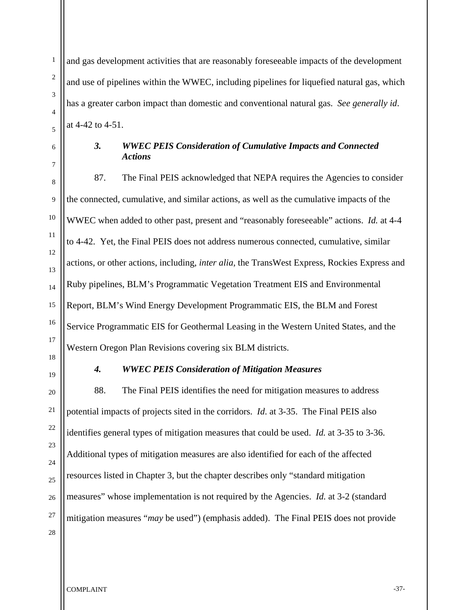1

and gas development activities that are reasonably foreseeable impacts of the development and use of pipelines within the WWEC, including pipelines for liquefied natural gas, which has a greater carbon impact than domestic and conventional natural gas. *See generally id*. at 4-42 to 4-51.

# *3. WWEC PEIS Consideration of Cumulative Impacts and Connected Actions*

87. The Final PEIS acknowledged that NEPA requires the Agencies to consider the connected, cumulative, and similar actions, as well as the cumulative impacts of the WWEC when added to other past, present and "reasonably foreseeable" actions. *Id.* at 4-4 to 4-42. Yet, the Final PEIS does not address numerous connected, cumulative, similar actions, or other actions, including, *inter alia*, the TransWest Express, Rockies Express and Ruby pipelines, BLM's Programmatic Vegetation Treatment EIS and Environmental Report, BLM's Wind Energy Development Programmatic EIS, the BLM and Forest Service Programmatic EIS for Geothermal Leasing in the Western United States, and the Western Oregon Plan Revisions covering six BLM districts.

#### *4. WWEC PEIS Consideration of Mitigation Measures*

 88. The Final PEIS identifies the need for mitigation measures to address potential impacts of projects sited in the corridors. *Id*. at 3-35. The Final PEIS also identifies general types of mitigation measures that could be used. *Id.* at 3-35 to 3-36. Additional types of mitigation measures are also identified for each of the affected resources listed in Chapter 3, but the chapter describes only "standard mitigation measures" whose implementation is not required by the Agencies. *Id.* at 3-2 (standard mitigation measures "*may* be used") (emphasis added). The Final PEIS does not provide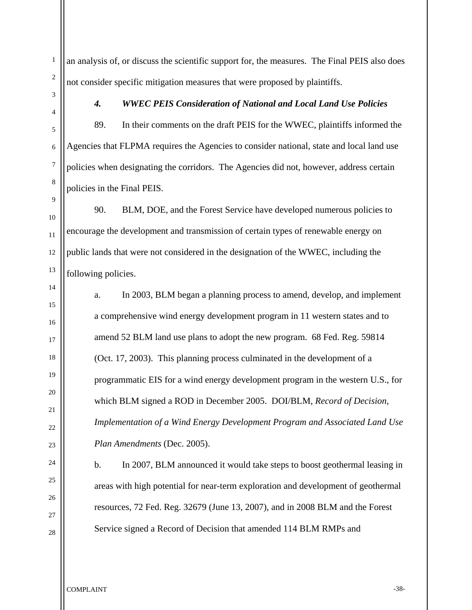an analysis of, or discuss the scientific support for, the measures. The Final PEIS also does not consider specific mitigation measures that were proposed by plaintiffs.

1

2

3

# *4. WWEC PEIS Consideration of National and Local Land Use Policies*

89. In their comments on the draft PEIS for the WWEC, plaintiffs informed the Agencies that FLPMA requires the Agencies to consider national, state and local land use policies when designating the corridors. The Agencies did not, however, address certain policies in the Final PEIS.

90. BLM, DOE, and the Forest Service have developed numerous policies to encourage the development and transmission of certain types of renewable energy on public lands that were not considered in the designation of the WWEC, including the following policies.

a. In 2003, BLM began a planning process to amend, develop, and implement a comprehensive wind energy development program in 11 western states and to amend 52 BLM land use plans to adopt the new program. 68 Fed. Reg. 59814 (Oct. 17, 2003). This planning process culminated in the development of a programmatic EIS for a wind energy development program in the western U.S., for which BLM signed a ROD in December 2005. DOI/BLM, *Record of Decision, Implementation of a Wind Energy Development Program and Associated Land Use Plan Amendments* (Dec. 2005).

b. In 2007, BLM announced it would take steps to boost geothermal leasing in areas with high potential for near-term exploration and development of geothermal resources, 72 Fed. Reg. 32679 (June 13, 2007), and in 2008 BLM and the Forest Service signed a Record of Decision that amended 114 BLM RMPs and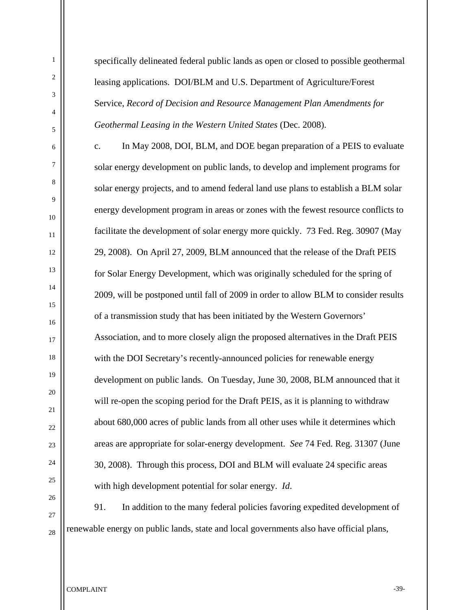specifically delineated federal public lands as open or closed to possible geothermal leasing applications. DOI/BLM and U.S. Department of Agriculture/Forest Service, *Record of Decision and Resource Management Plan Amendments for Geothermal Leasing in the Western United States* (Dec. 2008).

c. In May 2008, DOI, BLM, and DOE began preparation of a PEIS to evaluate solar energy development on public lands, to develop and implement programs for solar energy projects, and to amend federal land use plans to establish a BLM solar energy development program in areas or zones with the fewest resource conflicts to facilitate the development of solar energy more quickly. 73 Fed. Reg. 30907 (May 29, 2008). On April 27, 2009, BLM announced that the release of the Draft PEIS for Solar Energy Development, which was originally scheduled for the spring of 2009, will be postponed until fall of 2009 in order to allow BLM to consider results of a transmission study that has been initiated by the Western Governors' Association, and to more closely align the proposed alternatives in the Draft PEIS with the DOI Secretary's recently-announced policies for renewable energy development on public lands. On Tuesday, June 30, 2008, BLM announced that it will re-open the scoping period for the Draft PEIS, as it is planning to withdraw about 680,000 acres of public lands from all other uses while it determines which areas are appropriate for solar-energy development. *See* 74 Fed. Reg. 31307 (June 30, 2008). Through this process, DOI and BLM will evaluate 24 specific areas with high development potential for solar energy. *Id*.

91. In addition to the many federal policies favoring expedited development of renewable energy on public lands, state and local governments also have official plans,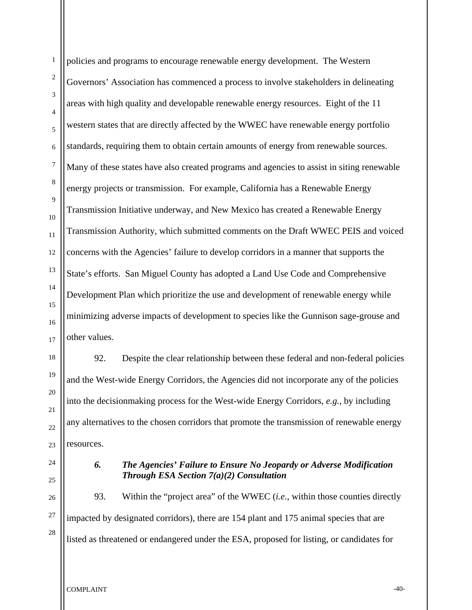policies and programs to encourage renewable energy development. The Western Governors' Association has commenced a process to involve stakeholders in delineating areas with high quality and developable renewable energy resources. Eight of the 11 western states that are directly affected by the WWEC have renewable energy portfolio standards, requiring them to obtain certain amounts of energy from renewable sources. Many of these states have also created programs and agencies to assist in siting renewable energy projects or transmission. For example, California has a Renewable Energy Transmission Initiative underway, and New Mexico has created a Renewable Energy Transmission Authority, which submitted comments on the Draft WWEC PEIS and voiced concerns with the Agencies' failure to develop corridors in a manner that supports the State's efforts. San Miguel County has adopted a Land Use Code and Comprehensive Development Plan which prioritize the use and development of renewable energy while minimizing adverse impacts of development to species like the Gunnison sage-grouse and other values.

92. Despite the clear relationship between these federal and non-federal policies and the West-wide Energy Corridors, the Agencies did not incorporate any of the policies into the decisionmaking process for the West-wide Energy Corridors, *e.g.*, by including any alternatives to the chosen corridors that promote the transmission of renewable energy resources.

## *6. The Agencies' Failure to Ensure No Jeopardy or Adverse Modification Through ESA Section 7(a)(2) Consultation*

93. Within the "project area" of the WWEC (*i.e.*, within those counties directly impacted by designated corridors), there are 154 plant and 175 animal species that are listed as threatened or endangered under the ESA, proposed for listing, or candidates for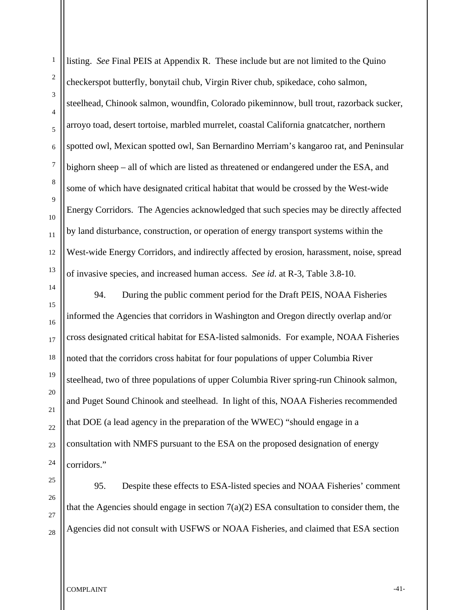listing. *See* Final PEIS at Appendix R. These include but are not limited to the Quino checkerspot butterfly, bonytail chub, Virgin River chub, spikedace, coho salmon, steelhead, Chinook salmon, woundfin, Colorado pikeminnow, bull trout, razorback sucker, arroyo toad, desert tortoise, marbled murrelet, coastal California gnatcatcher, northern spotted owl, Mexican spotted owl, San Bernardino Merriam's kangaroo rat, and Peninsular bighorn sheep – all of which are listed as threatened or endangered under the ESA, and some of which have designated critical habitat that would be crossed by the West-wide Energy Corridors. The Agencies acknowledged that such species may be directly affected by land disturbance, construction, or operation of energy transport systems within the West-wide Energy Corridors, and indirectly affected by erosion, harassment, noise, spread of invasive species, and increased human access. *See id*. at R-3, Table 3.8-10. 94. During the public comment period for the Draft PEIS, NOAA Fisheries

informed the Agencies that corridors in Washington and Oregon directly overlap and/or cross designated critical habitat for ESA-listed salmonids. For example, NOAA Fisheries noted that the corridors cross habitat for four populations of upper Columbia River steelhead, two of three populations of upper Columbia River spring-run Chinook salmon, and Puget Sound Chinook and steelhead. In light of this, NOAA Fisheries recommended that DOE (a lead agency in the preparation of the WWEC) "should engage in a consultation with NMFS pursuant to the ESA on the proposed designation of energy corridors."

95. Despite these effects to ESA-listed species and NOAA Fisheries' comment that the Agencies should engage in section  $7(a)(2)$  ESA consultation to consider them, the Agencies did not consult with USFWS or NOAA Fisheries, and claimed that ESA section

COMPLAINT THE COMPLAINT THE STATE OF STATE AND STATE OF STATE AND STATE OF STATE OF STATE OF STATE OF STATE OF STATE OF STATE OF STATE OF STATE OF STATE OF STATE OF STATE OF STATE OF STATE OF STATE OF STATE OF STATE OF STA

1

2

3

4

5

6

7

8

9

10

11

12

13

14

15

16

17

18

19

20

21

22

23

24

25

26

27

28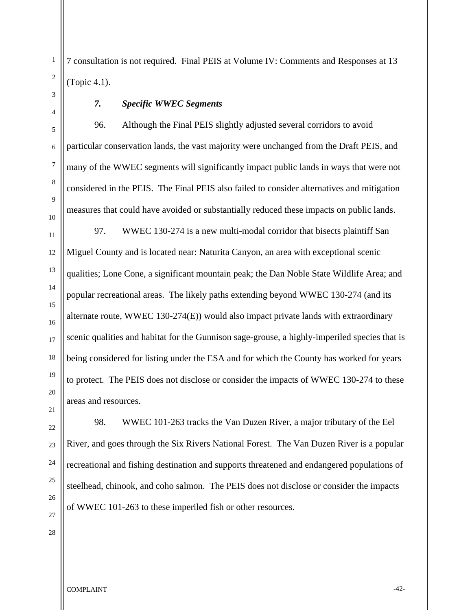7 consultation is not required. Final PEIS at Volume IV: Comments and Responses at 13 (Topic 4.1).

1

2

3

4

5

6

7

8

9

10

# *7. Specific WWEC Segments*

96. Although the Final PEIS slightly adjusted several corridors to avoid particular conservation lands, the vast majority were unchanged from the Draft PEIS, and many of the WWEC segments will significantly impact public lands in ways that were not considered in the PEIS. The Final PEIS also failed to consider alternatives and mitigation measures that could have avoided or substantially reduced these impacts on public lands.

11 12 13 97. WWEC 130-274 is a new multi-modal corridor that bisects plaintiff San Miguel County and is located near: Naturita Canyon, an area with exceptional scenic qualities; Lone Cone, a significant mountain peak; the Dan Noble State Wildlife Area; and popular recreational areas. The likely paths extending beyond WWEC 130-274 (and its alternate route, WWEC 130-274(E)) would also impact private lands with extraordinary scenic qualities and habitat for the Gunnison sage-grouse, a highly-imperiled species that is being considered for listing under the ESA and for which the County has worked for years to protect. The PEIS does not disclose or consider the impacts of WWEC 130-274 to these areas and resources.

98. WWEC 101-263 tracks the Van Duzen River, a major tributary of the Eel River, and goes through the Six Rivers National Forest. The Van Duzen River is a popular recreational and fishing destination and supports threatened and endangered populations of steelhead, chinook, and coho salmon. The PEIS does not disclose or consider the impacts of WWEC 101-263 to these imperiled fish or other resources.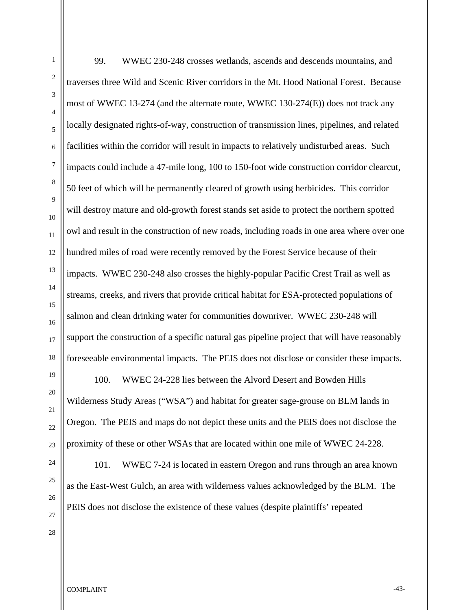99. WWEC 230-248 crosses wetlands, ascends and descends mountains, and traverses three Wild and Scenic River corridors in the Mt. Hood National Forest. Because most of WWEC 13-274 (and the alternate route, WWEC 130-274(E)) does not track any locally designated rights-of-way, construction of transmission lines, pipelines, and related facilities within the corridor will result in impacts to relatively undisturbed areas. Such impacts could include a 47-mile long, 100 to 150-foot wide construction corridor clearcut, 50 feet of which will be permanently cleared of growth using herbicides. This corridor will destroy mature and old-growth forest stands set aside to protect the northern spotted owl and result in the construction of new roads, including roads in one area where over one hundred miles of road were recently removed by the Forest Service because of their impacts. WWEC 230-248 also crosses the highly-popular Pacific Crest Trail as well as streams, creeks, and rivers that provide critical habitat for ESA-protected populations of salmon and clean drinking water for communities downriver. WWEC 230-248 will support the construction of a specific natural gas pipeline project that will have reasonably foreseeable environmental impacts. The PEIS does not disclose or consider these impacts. 100. WWEC 24-228 lies between the Alvord Desert and Bowden Hills

Wilderness Study Areas ("WSA") and habitat for greater sage-grouse on BLM lands in Oregon. The PEIS and maps do not depict these units and the PEIS does not disclose the proximity of these or other WSAs that are located within one mile of WWEC 24-228.

101. WWEC 7-24 is located in eastern Oregon and runs through an area known as the East-West Gulch, an area with wilderness values acknowledged by the BLM. The PEIS does not disclose the existence of these values (despite plaintiffs' repeated

1

2

3

4

5

6

7

8

9

10

11

12

13

14

15

16

17

18

19

20

21

22

23

24

25

26

27

28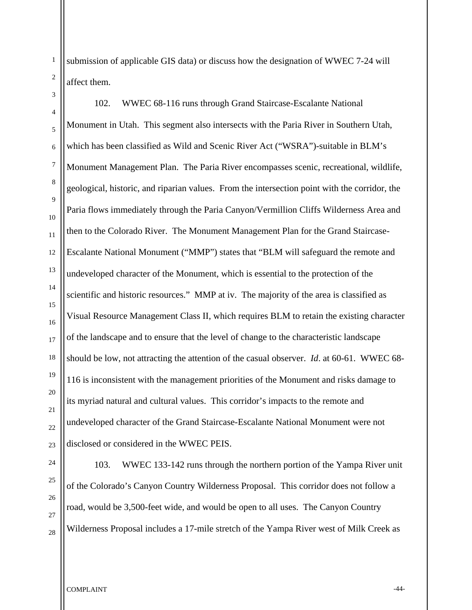submission of applicable GIS data) or discuss how the designation of WWEC 7-24 will affect them.

6 8 12 13 14 15 16 18 102. WWEC 68-116 runs through Grand Staircase-Escalante National Monument in Utah. This segment also intersects with the Paria River in Southern Utah, which has been classified as Wild and Scenic River Act ("WSRA")-suitable in BLM's Monument Management Plan. The Paria River encompasses scenic, recreational, wildlife, geological, historic, and riparian values. From the intersection point with the corridor, the Paria flows immediately through the Paria Canyon/Vermillion Cliffs Wilderness Area and then to the Colorado River. The Monument Management Plan for the Grand Staircase-Escalante National Monument ("MMP") states that "BLM will safeguard the remote and undeveloped character of the Monument, which is essential to the protection of the scientific and historic resources." MMP at iv. The majority of the area is classified as Visual Resource Management Class II, which requires BLM to retain the existing character of the landscape and to ensure that the level of change to the characteristic landscape should be low, not attracting the attention of the casual observer. *Id*. at 60-61. WWEC 68- 116 is inconsistent with the management priorities of the Monument and risks damage to its myriad natural and cultural values. This corridor's impacts to the remote and undeveloped character of the Grand Staircase-Escalante National Monument were not disclosed or considered in the WWEC PEIS.

28

1

2

3

4

5

7

9

10

11

17

19

20

21

22

103. WWEC 133-142 runs through the northern portion of the Yampa River unit of the Colorado's Canyon Country Wilderness Proposal. This corridor does not follow a road, would be 3,500-feet wide, and would be open to all uses. The Canyon Country Wilderness Proposal includes a 17-mile stretch of the Yampa River west of Milk Creek as

COMPLAINT THE COMPLAINT SERVICE OF STRAINING STRAINING STRAINING STRAINING STRAINING STRAINING STRAINING STRAINING STRAINING STRAINING STRAINING STRAINING STRAINING STRAINING STRAINING STRAINING STRAINING STRAINING STRAINI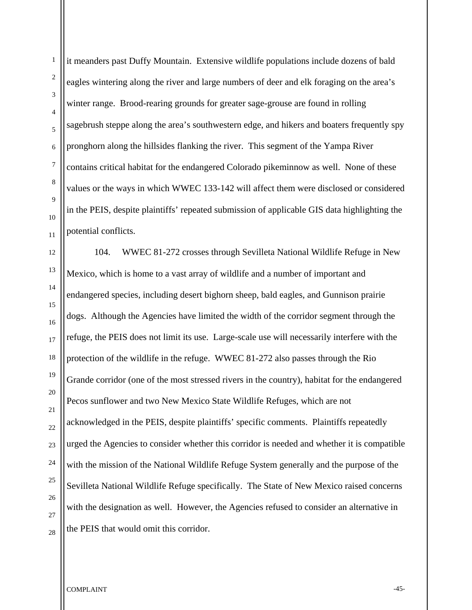2 3 4 eagles wintering along the river and large numbers of deer and elk foraging on the area's winter range. Brood-rearing grounds for greater sage-grouse are found in rolling sagebrush steppe along the area's southwestern edge, and hikers and boaters frequently spy pronghorn along the hillsides flanking the river. This segment of the Yampa River contains critical habitat for the endangered Colorado pikeminnow as well. None of these values or the ways in which WWEC 133-142 will affect them were disclosed or considered in the PEIS, despite plaintiffs' repeated submission of applicable GIS data highlighting the potential conflicts. 104. WWEC 81-272 crosses through Sevilleta National Wildlife Refuge in New Mexico, which is home to a vast array of wildlife and a number of important and endangered species, including desert bighorn sheep, bald eagles, and Gunnison prairie dogs. Although the Agencies have limited the width of the corridor segment through the refuge, the PEIS does not limit its use. Large-scale use will necessarily interfere with the protection of the wildlife in the refuge. WWEC 81-272 also passes through the Rio Grande corridor (one of the most stressed rivers in the country), habitat for the endangered Pecos sunflower and two New Mexico State Wildlife Refuges, which are not acknowledged in the PEIS, despite plaintiffs' specific comments. Plaintiffs repeatedly urged the Agencies to consider whether this corridor is needed and whether it is compatible with the mission of the National Wildlife Refuge System generally and the purpose of the

28

1

it meanders past Duffy Mountain. Extensive wildlife populations include dozens of bald

Sevilleta National Wildlife Refuge specifically. The State of New Mexico raised concerns

with the designation as well. However, the Agencies refused to consider an alternative in

COMPLAINT THE COMPLAINT THE SERVICE OF STRAIN  $-45$ -

the PEIS that would omit this corridor.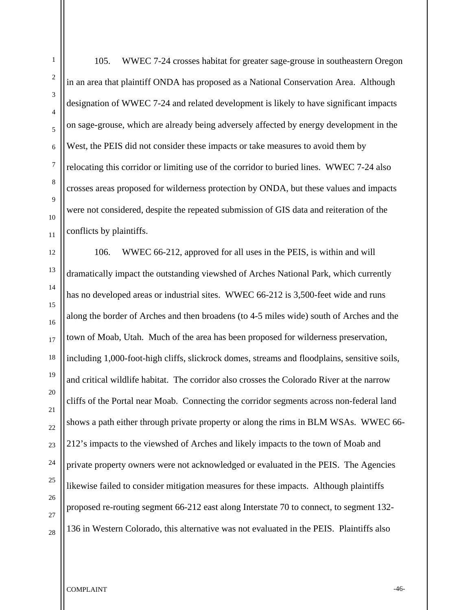105. WWEC 7-24 crosses habitat for greater sage-grouse in southeastern Oregon in an area that plaintiff ONDA has proposed as a National Conservation Area. Although designation of WWEC 7-24 and related development is likely to have significant impacts on sage-grouse, which are already being adversely affected by energy development in the West, the PEIS did not consider these impacts or take measures to avoid them by relocating this corridor or limiting use of the corridor to buried lines. WWEC 7-24 also crosses areas proposed for wilderness protection by ONDA, but these values and impacts were not considered, despite the repeated submission of GIS data and reiteration of the conflicts by plaintiffs.

106. WWEC 66-212, approved for all uses in the PEIS, is within and will dramatically impact the outstanding viewshed of Arches National Park, which currently has no developed areas or industrial sites. WWEC 66-212 is 3,500-feet wide and runs along the border of Arches and then broadens (to 4-5 miles wide) south of Arches and the town of Moab, Utah. Much of the area has been proposed for wilderness preservation, including 1,000-foot-high cliffs, slickrock domes, streams and floodplains, sensitive soils, and critical wildlife habitat. The corridor also crosses the Colorado River at the narrow cliffs of the Portal near Moab. Connecting the corridor segments across non-federal land shows a path either through private property or along the rims in BLM WSAs. WWEC 66- 212's impacts to the viewshed of Arches and likely impacts to the town of Moab and private property owners were not acknowledged or evaluated in the PEIS. The Agencies likewise failed to consider mitigation measures for these impacts. Although plaintiffs proposed re-routing segment 66-212 east along Interstate 70 to connect, to segment 132- 136 in Western Colorado, this alternative was not evaluated in the PEIS. Plaintiffs also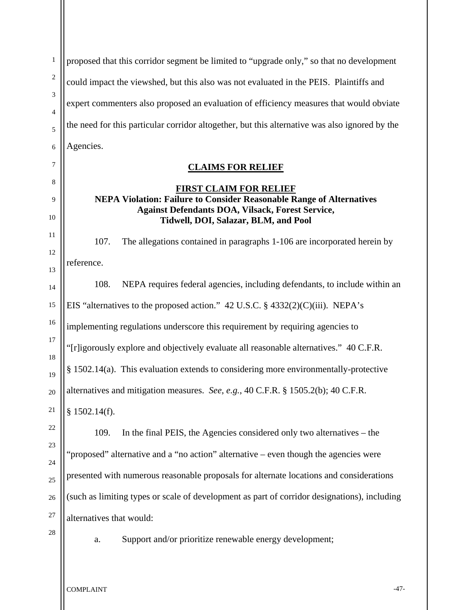1 2 3 4 5 6 7 8 proposed that this corridor segment be limited to "upgrade only," so that no development could impact the viewshed, but this also was not evaluated in the PEIS. Plaintiffs and expert commenters also proposed an evaluation of efficiency measures that would obviate the need for this particular corridor altogether, but this alternative was also ignored by the Agencies. **CLAIMS FOR RELIEF FIRST CLAIM FOR RELIEF**

# **NEPA Violation: Failure to Consider Reasonable Range of Alternatives Against Defendants DOA, Vilsack, Forest Service, Tidwell, DOI, Salazar, BLM, and Pool**

107. The allegations contained in paragraphs 1-106 are incorporated herein by reference.

108. NEPA requires federal agencies, including defendants, to include within an EIS "alternatives to the proposed action." 42 U.S.C. § 4332(2)(C)(iii). NEPA's implementing regulations underscore this requirement by requiring agencies to "[r]igorously explore and objectively evaluate all reasonable alternatives." 40 C.F.R. § 1502.14(a). This evaluation extends to considering more environmentally-protective alternatives and mitigation measures. *See*, *e.g.*, 40 C.F.R. § 1505.2(b); 40 C.F.R. § 1502.14(f).

22 23 24 25 26 27 109. In the final PEIS, the Agencies considered only two alternatives – the "proposed" alternative and a "no action" alternative – even though the agencies were presented with numerous reasonable proposals for alternate locations and considerations (such as limiting types or scale of development as part of corridor designations), including alternatives that would:

28

9

10

11

12

13

14

15

16

17

18

19

20

21

a. Support and/or prioritize renewable energy development;

COMPLAINT  $^{47-}$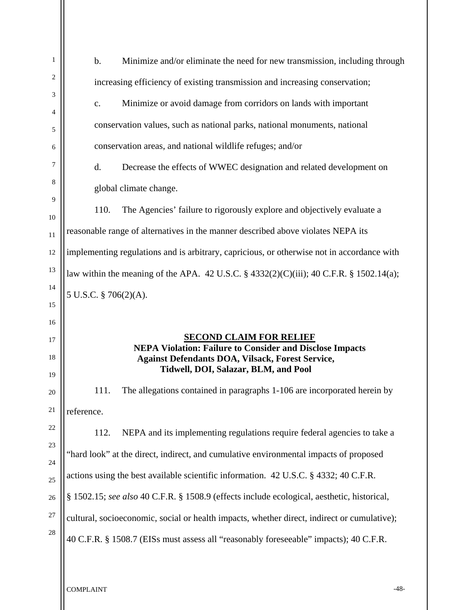| $\mathbf{1}$ | $\mathbf b$ .<br>Minimize and/or eliminate the need for new transmission, including through                                                                                                          |  |  |  |  |  |
|--------------|------------------------------------------------------------------------------------------------------------------------------------------------------------------------------------------------------|--|--|--|--|--|
| 2            | increasing efficiency of existing transmission and increasing conservation;                                                                                                                          |  |  |  |  |  |
| 3            | Minimize or avoid damage from corridors on lands with important<br>c.                                                                                                                                |  |  |  |  |  |
| 4<br>5       | conservation values, such as national parks, national monuments, national                                                                                                                            |  |  |  |  |  |
| 6            | conservation areas, and national wildlife refuges; and/or                                                                                                                                            |  |  |  |  |  |
| 7            | Decrease the effects of WWEC designation and related development on<br>d.                                                                                                                            |  |  |  |  |  |
| 8            |                                                                                                                                                                                                      |  |  |  |  |  |
| 9            | global climate change.                                                                                                                                                                               |  |  |  |  |  |
| 10           | 110.<br>The Agencies' failure to rigorously explore and objectively evaluate a                                                                                                                       |  |  |  |  |  |
| 11           | reasonable range of alternatives in the manner described above violates NEPA its                                                                                                                     |  |  |  |  |  |
| 12           | implementing regulations and is arbitrary, capricious, or otherwise not in accordance with                                                                                                           |  |  |  |  |  |
| 13           | law within the meaning of the APA. 42 U.S.C. $\S$ 4332(2)(C)(iii); 40 C.F.R. $\S$ 1502.14(a);                                                                                                        |  |  |  |  |  |
| 14           | 5 U.S.C. § 706(2)(A).                                                                                                                                                                                |  |  |  |  |  |
| 15           |                                                                                                                                                                                                      |  |  |  |  |  |
| 16           |                                                                                                                                                                                                      |  |  |  |  |  |
| 17           | <b>SECOND CLAIM FOR RELIEF</b><br><b>NEPA Violation: Failure to Consider and Disclose Impacts</b><br><b>Against Defendants DOA, Vilsack, Forest Service,</b><br>Tidwell, DOI, Salazar, BLM, and Pool |  |  |  |  |  |
| 18           |                                                                                                                                                                                                      |  |  |  |  |  |
| 19           |                                                                                                                                                                                                      |  |  |  |  |  |
| 20           | The allegations contained in paragraphs 1-106 are incorporated herein by<br>111.                                                                                                                     |  |  |  |  |  |
| 21           | reference.                                                                                                                                                                                           |  |  |  |  |  |
| 22           |                                                                                                                                                                                                      |  |  |  |  |  |
| 23           | 112.<br>NEPA and its implementing regulations require federal agencies to take a                                                                                                                     |  |  |  |  |  |
| 24           | "hard look" at the direct, indirect, and cumulative environmental impacts of proposed                                                                                                                |  |  |  |  |  |
| 25           | actions using the best available scientific information. 42 U.S.C. § 4332; 40 C.F.R.                                                                                                                 |  |  |  |  |  |
| 26           | § 1502.15; see also 40 C.F.R. § 1508.9 (effects include ecological, aesthetic, historical,                                                                                                           |  |  |  |  |  |
| 27           | cultural, socioeconomic, social or health impacts, whether direct, indirect or cumulative);                                                                                                          |  |  |  |  |  |
|              |                                                                                                                                                                                                      |  |  |  |  |  |
| 28           | 40 C.F.R. § 1508.7 (EISs must assess all "reasonably foreseeable" impacts); 40 C.F.R.                                                                                                                |  |  |  |  |  |

COMPLAINT <sup>-48-</sup>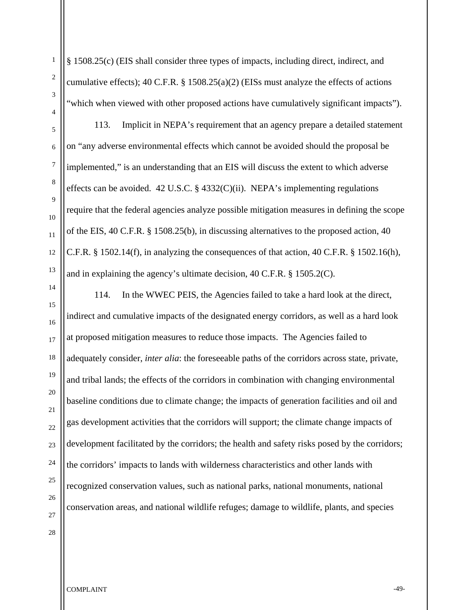§ 1508.25(c) (EIS shall consider three types of impacts, including direct, indirect, and cumulative effects); 40 C.F.R. § 1508.25(a)(2) (EISs must analyze the effects of actions "which when viewed with other proposed actions have cumulatively significant impacts").

113. Implicit in NEPA's requirement that an agency prepare a detailed statement on "any adverse environmental effects which cannot be avoided should the proposal be implemented," is an understanding that an EIS will discuss the extent to which adverse effects can be avoided.  $42 \text{ U.S.C.}$  §  $4332(\text{C})(\text{ii})$ . NEPA's implementing regulations require that the federal agencies analyze possible mitigation measures in defining the scope of the EIS, 40 C.F.R. § 1508.25(b), in discussing alternatives to the proposed action, 40 C.F.R. § 1502.14(f), in analyzing the consequences of that action, 40 C.F.R. § 1502.16(h), and in explaining the agency's ultimate decision, 40 C.F.R. § 1505.2(C).

114. In the WWEC PEIS, the Agencies failed to take a hard look at the direct, indirect and cumulative impacts of the designated energy corridors, as well as a hard look at proposed mitigation measures to reduce those impacts. The Agencies failed to adequately consider, *inter alia*: the foreseeable paths of the corridors across state, private, and tribal lands; the effects of the corridors in combination with changing environmental baseline conditions due to climate change; the impacts of generation facilities and oil and gas development activities that the corridors will support; the climate change impacts of development facilitated by the corridors; the health and safety risks posed by the corridors; the corridors' impacts to lands with wilderness characteristics and other lands with recognized conservation values, such as national parks, national monuments, national conservation areas, and national wildlife refuges; damage to wildlife, plants, and species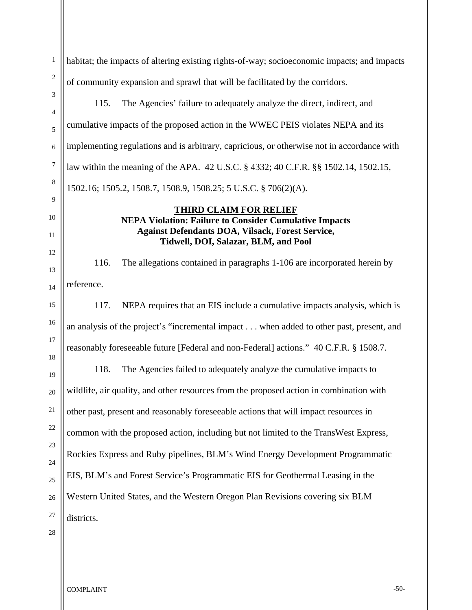1 2 3 4 5 6 7 8 9 10 11 12 13 14 15 16 17 18 19 20 21 22 23 24 25 26 27 28 habitat; the impacts of altering existing rights-of-way; socioeconomic impacts; and impacts of community expansion and sprawl that will be facilitated by the corridors. 115. The Agencies' failure to adequately analyze the direct, indirect, and cumulative impacts of the proposed action in the WWEC PEIS violates NEPA and its implementing regulations and is arbitrary, capricious, or otherwise not in accordance with law within the meaning of the APA. 42 U.S.C. § 4332; 40 C.F.R. §§ 1502.14, 1502.15, 1502.16; 1505.2, 1508.7, 1508.9, 1508.25; 5 U.S.C. § 706(2)(A). **THIRD CLAIM FOR RELIEF NEPA Violation: Failure to Consider Cumulative Impacts Against Defendants DOA, Vilsack, Forest Service, Tidwell, DOI, Salazar, BLM, and Pool** 116. The allegations contained in paragraphs 1-106 are incorporated herein by reference. 117. NEPA requires that an EIS include a cumulative impacts analysis, which is an analysis of the project's "incremental impact . . . when added to other past, present, and reasonably foreseeable future [Federal and non-Federal] actions." 40 C.F.R. § 1508.7. 118. The Agencies failed to adequately analyze the cumulative impacts to wildlife, air quality, and other resources from the proposed action in combination with other past, present and reasonably foreseeable actions that will impact resources in common with the proposed action, including but not limited to the TransWest Express, Rockies Express and Ruby pipelines, BLM's Wind Energy Development Programmatic EIS, BLM's and Forest Service's Programmatic EIS for Geothermal Leasing in the Western United States, and the Western Oregon Plan Revisions covering six BLM districts.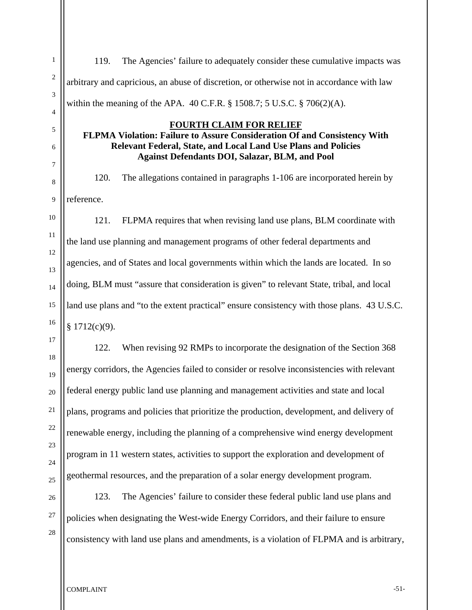119. The Agencies' failure to adequately consider these cumulative impacts was arbitrary and capricious, an abuse of discretion, or otherwise not in accordance with law within the meaning of the APA. 40 C.F.R. § 1508.7; 5 U.S.C. § 706(2)(A).

# **FOURTH CLAIM FOR RELIEF**

**FLPMA Violation: Failure to Assure Consideration Of and Consistency With Relevant Federal, State, and Local Land Use Plans and Policies Against Defendants DOI, Salazar, BLM, and Pool** 

120. The allegations contained in paragraphs 1-106 are incorporated herein by reference.

121. FLPMA requires that when revising land use plans, BLM coordinate with the land use planning and management programs of other federal departments and agencies, and of States and local governments within which the lands are located. In so doing, BLM must "assure that consideration is given" to relevant State, tribal, and local land use plans and "to the extent practical" ensure consistency with those plans. 43 U.S.C.  $§ 1712(c)(9).$ 

122. When revising 92 RMPs to incorporate the designation of the Section 368 energy corridors, the Agencies failed to consider or resolve inconsistencies with relevant federal energy public land use planning and management activities and state and local plans, programs and policies that prioritize the production, development, and delivery of renewable energy, including the planning of a comprehensive wind energy development program in 11 western states, activities to support the exploration and development of geothermal resources, and the preparation of a solar energy development program.

123. The Agencies' failure to consider these federal public land use plans and policies when designating the West-wide Energy Corridors, and their failure to ensure consistency with land use plans and amendments, is a violation of FLPMA and is arbitrary,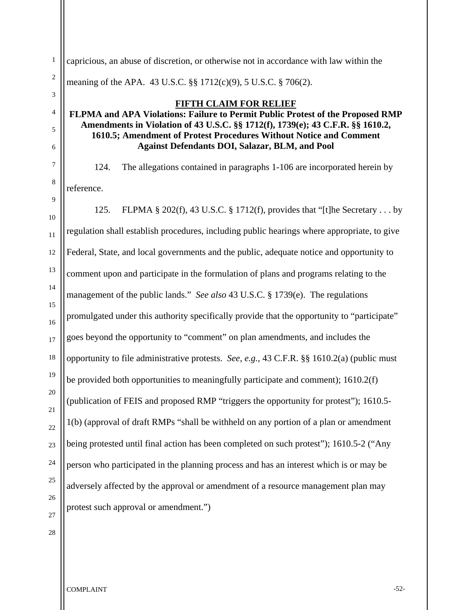1 2 capricious, an abuse of discretion, or otherwise not in accordance with law within the meaning of the APA. 43 U.S.C. §§ 1712(c)(9), 5 U.S.C. § 706(2).

### **FIFTH CLAIM FOR RELIEF FLPMA and APA Violations: Failure to Permit Public Protest of the Proposed RMP Amendments in Violation of 43 U.S.C. §§ 1712(f), 1739(e); 43 C.F.R. §§ 1610.2, 1610.5; Amendment of Protest Procedures Without Notice and Comment Against Defendants DOI, Salazar, BLM, and Pool**

124. The allegations contained in paragraphs 1-106 are incorporated herein by reference.

125. FLPMA § 202(f), 43 U.S.C. § 1712(f), provides that "[t]he Secretary . . . by regulation shall establish procedures, including public hearings where appropriate, to give Federal, State, and local governments and the public, adequate notice and opportunity to comment upon and participate in the formulation of plans and programs relating to the management of the public lands." *See also* 43 U.S.C. § 1739(e). The regulations promulgated under this authority specifically provide that the opportunity to "participate" goes beyond the opportunity to "comment" on plan amendments, and includes the opportunity to file administrative protests. *See, e.g.*, 43 C.F.R. §§ 1610.2(a) (public must be provided both opportunities to meaningfully participate and comment); 1610.2(f) (publication of FEIS and proposed RMP "triggers the opportunity for protest"); 1610.5- 1(b) (approval of draft RMPs "shall be withheld on any portion of a plan or amendment being protested until final action has been completed on such protest"); 1610.5-2 ("Any person who participated in the planning process and has an interest which is or may be adversely affected by the approval or amendment of a resource management plan may protest such approval or amendment.")

COMPLAINT -52-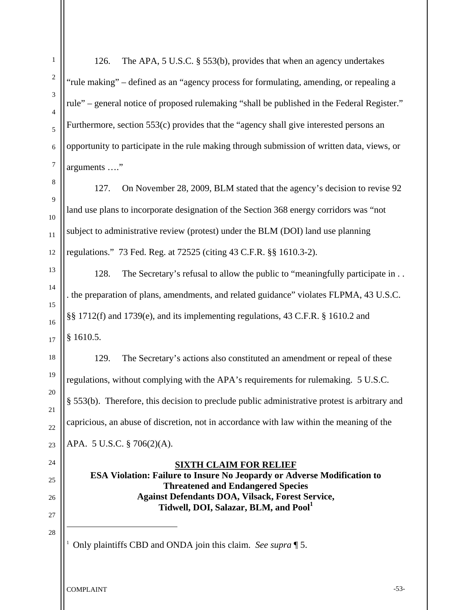1

2

3

4

5

6

126. The APA, 5 U.S.C. § 553(b), provides that when an agency undertakes "rule making" – defined as an "agency process for formulating, amending, or repealing a rule" – general notice of proposed rulemaking "shall be published in the Federal Register." Furthermore, section 553(c) provides that the "agency shall give interested persons an opportunity to participate in the rule making through submission of written data, views, or arguments …."

127. On November 28, 2009, BLM stated that the agency's decision to revise 92 land use plans to incorporate designation of the Section 368 energy corridors was "not subject to administrative review (protest) under the BLM (DOI) land use planning regulations." 73 Fed. Reg. at 72525 (citing 43 C.F.R. §§ 1610.3-2).

128. The Secretary's refusal to allow the public to "meaningfully participate in . . . the preparation of plans, amendments, and related guidance" violates FLPMA, 43 U.S.C. §§ 1712(f) and 1739(e), and its implementing regulations, 43 C.F.R. § 1610.2 and § 1610.5.

129. The Secretary's actions also constituted an amendment or repeal of these regulations, without complying with the APA's requirements for rulemaking. 5 U.S.C. § 553(b). Therefore, this decision to preclude public administrative protest is arbitrary and capricious, an abuse of discretion, not in accordance with law within the meaning of the APA. 5 U.S.C. § 706(2)(A).

# **SIXTH CLAIM FOR RELIEF**

**ESA Violation: Failure to Insure No Jeopardy or Adverse Modification to Threatened and Endangered Species Against Defendants DOA, Vilsack, Forest Service, Tidwell, DOI, Salazar, BLM, and Pool<sup>1</sup>**

1 Only plaintiffs CBD and ONDA join this claim. *See supra* ¶ 5.

COMPLAINT <sup>-53</sup>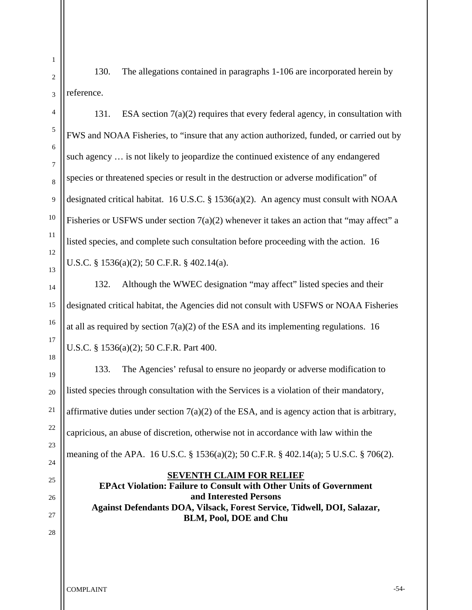130. The allegations contained in paragraphs 1-106 are incorporated herein by reference.

 131. ESA section 7(a)(2) requires that every federal agency, in consultation with FWS and NOAA Fisheries, to "insure that any action authorized, funded, or carried out by such agency … is not likely to jeopardize the continued existence of any endangered species or threatened species or result in the destruction or adverse modification" of designated critical habitat. 16 U.S.C. § 1536(a)(2). An agency must consult with NOAA Fisheries or USFWS under section 7(a)(2) whenever it takes an action that "may affect" a listed species, and complete such consultation before proceeding with the action. 16 U.S.C. § 1536(a)(2); 50 C.F.R. § 402.14(a).

 132. Although the WWEC designation "may affect" listed species and their designated critical habitat, the Agencies did not consult with USFWS or NOAA Fisheries at all as required by section  $7(a)(2)$  of the ESA and its implementing regulations. 16 U.S.C. § 1536(a)(2); 50 C.F.R. Part 400.

 133. The Agencies' refusal to ensure no jeopardy or adverse modification to listed species through consultation with the Services is a violation of their mandatory, affirmative duties under section  $7(a)(2)$  of the ESA, and is agency action that is arbitrary, capricious, an abuse of discretion, otherwise not in accordance with law within the meaning of the APA. 16 U.S.C. § 1536(a)(2); 50 C.F.R. § 402.14(a); 5 U.S.C. § 706(2).

### **SEVENTH CLAIM FOR RELIEF**

**EPAct Violation: Failure to Consult with Other Units of Government and Interested Persons Against Defendants DOA, Vilsack, Forest Service, Tidwell, DOI, Salazar, BLM, Pool, DOE and Chu**

# 3 4 5 6 7 8 9 10 11 12 13 14 15 16 17 18 19 20 21 22 23 24

25

26

27

28

1

2

COMPLAINT  $\sim$  54-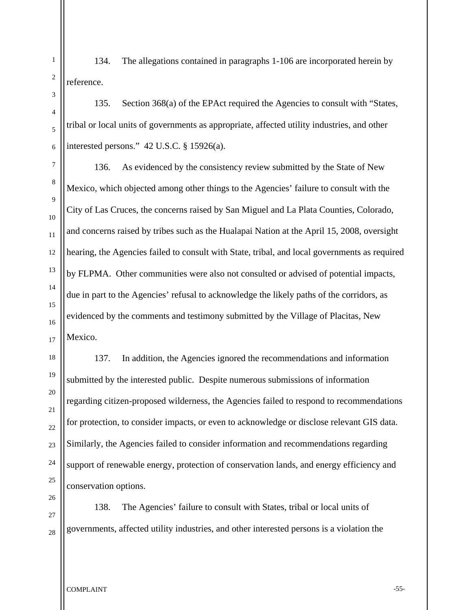134. The allegations contained in paragraphs 1-106 are incorporated herein by reference.

135. Section 368(a) of the EPAct required the Agencies to consult with "States, tribal or local units of governments as appropriate, affected utility industries, and other interested persons." 42 U.S.C. § 15926(a).

136. As evidenced by the consistency review submitted by the State of New Mexico, which objected among other things to the Agencies' failure to consult with the City of Las Cruces, the concerns raised by San Miguel and La Plata Counties, Colorado, and concerns raised by tribes such as the Hualapai Nation at the April 15, 2008, oversight hearing, the Agencies failed to consult with State, tribal, and local governments as required by FLPMA. Other communities were also not consulted or advised of potential impacts, due in part to the Agencies' refusal to acknowledge the likely paths of the corridors, as evidenced by the comments and testimony submitted by the Village of Placitas, New Mexico.

137. In addition, the Agencies ignored the recommendations and information submitted by the interested public. Despite numerous submissions of information regarding citizen-proposed wilderness, the Agencies failed to respond to recommendations for protection, to consider impacts, or even to acknowledge or disclose relevant GIS data. Similarly, the Agencies failed to consider information and recommendations regarding support of renewable energy, protection of conservation lands, and energy efficiency and conservation options.

138. The Agencies' failure to consult with States, tribal or local units of governments, affected utility industries, and other interested persons is a violation the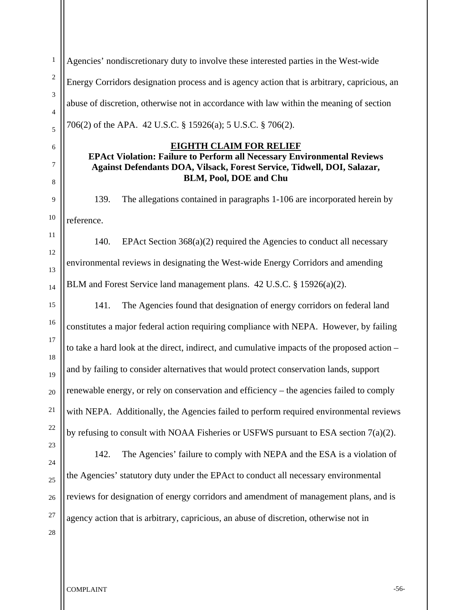Agencies' nondiscretionary duty to involve these interested parties in the West-wide Energy Corridors designation process and is agency action that is arbitrary, capricious, an abuse of discretion, otherwise not in accordance with law within the meaning of section 706(2) of the APA. 42 U.S.C. § 15926(a); 5 U.S.C. § 706(2). **EIGHTH CLAIM FOR RELIEF**

# **EPAct Violation: Failure to Perform all Necessary Environmental Reviews Against Defendants DOA, Vilsack, Forest Service, Tidwell, DOI, Salazar, BLM, Pool, DOE and Chu**

139. The allegations contained in paragraphs 1-106 are incorporated herein by reference.

140. EPAct Section 368(a)(2) required the Agencies to conduct all necessary environmental reviews in designating the West-wide Energy Corridors and amending BLM and Forest Service land management plans. 42 U.S.C. § 15926(a)(2).

141. The Agencies found that designation of energy corridors on federal land constitutes a major federal action requiring compliance with NEPA. However, by failing to take a hard look at the direct, indirect, and cumulative impacts of the proposed action – and by failing to consider alternatives that would protect conservation lands, support renewable energy, or rely on conservation and efficiency – the agencies failed to comply with NEPA. Additionally, the Agencies failed to perform required environmental reviews by refusing to consult with NOAA Fisheries or USFWS pursuant to ESA section 7(a)(2).

142. The Agencies' failure to comply with NEPA and the ESA is a violation of the Agencies' statutory duty under the EPAct to conduct all necessary environmental reviews for designation of energy corridors and amendment of management plans, and is agency action that is arbitrary, capricious, an abuse of discretion, otherwise not in

1

2

3

4

5

6

7

8

9

10

11

12

13

14

15

16

17

18

19

20

21

22

23

24

25

26

27

28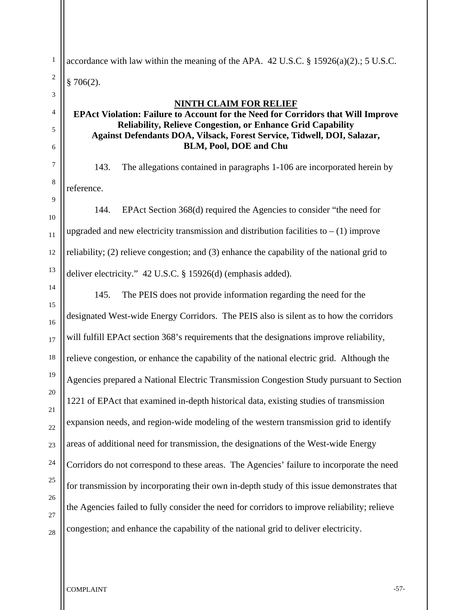accordance with law within the meaning of the APA. 42 U.S.C. § 15926(a)(2).; 5 U.S.C.  $§ 706(2).$ 

#### **NINTH CLAIM FOR RELIEF**

# **EPAct Violation: Failure to Account for the Need for Corridors that Will Improve Reliability, Relieve Congestion, or Enhance Grid Capability Against Defendants DOA, Vilsack, Forest Service, Tidwell, DOI, Salazar, BLM, Pool, DOE and Chu**

143. The allegations contained in paragraphs 1-106 are incorporated herein by reference.

144. EPAct Section 368(d) required the Agencies to consider "the need for upgraded and new electricity transmission and distribution facilities to  $- (1)$  improve reliability; (2) relieve congestion; and (3) enhance the capability of the national grid to deliver electricity." 42 U.S.C. § 15926(d) (emphasis added).

145. The PEIS does not provide information regarding the need for the designated West-wide Energy Corridors. The PEIS also is silent as to how the corridors will fulfill EPAct section 368's requirements that the designations improve reliability, relieve congestion, or enhance the capability of the national electric grid. Although the Agencies prepared a National Electric Transmission Congestion Study pursuant to Section 1221 of EPAct that examined in-depth historical data, existing studies of transmission expansion needs, and region-wide modeling of the western transmission grid to identify areas of additional need for transmission, the designations of the West-wide Energy Corridors do not correspond to these areas. The Agencies' failure to incorporate the need for transmission by incorporating their own in-depth study of this issue demonstrates that the Agencies failed to fully consider the need for corridors to improve reliability; relieve congestion; and enhance the capability of the national grid to deliver electricity.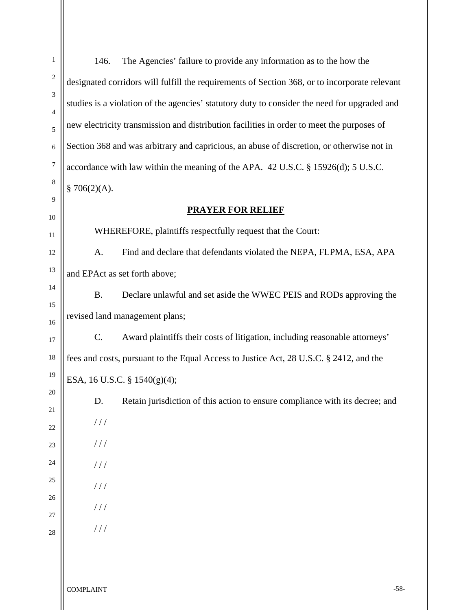| $\mathbf{1}$     | 146.<br>The Agencies' failure to provide any information as to the how the                    |        |  |  |  |  |
|------------------|-----------------------------------------------------------------------------------------------|--------|--|--|--|--|
| $\overline{c}$   | designated corridors will fulfill the requirements of Section 368, or to incorporate relevant |        |  |  |  |  |
| 3                | studies is a violation of the agencies' statutory duty to consider the need for upgraded and  |        |  |  |  |  |
| 4<br>5           | new electricity transmission and distribution facilities in order to meet the purposes of     |        |  |  |  |  |
| 6                | Section 368 and was arbitrary and capricious, an abuse of discretion, or otherwise not in     |        |  |  |  |  |
| $\boldsymbol{7}$ | accordance with law within the meaning of the APA. 42 U.S.C. § 15926(d); 5 U.S.C.             |        |  |  |  |  |
| 8                | \$706(2)(A).                                                                                  |        |  |  |  |  |
| 9                | <b>PRAYER FOR RELIEF</b>                                                                      |        |  |  |  |  |
| 10               |                                                                                               |        |  |  |  |  |
| 11               | WHEREFORE, plaintiffs respectfully request that the Court:                                    |        |  |  |  |  |
| 12               | Find and declare that defendants violated the NEPA, FLPMA, ESA, APA<br>A.                     |        |  |  |  |  |
| 13               | and EPAct as set forth above;                                                                 |        |  |  |  |  |
| 14               | <b>B.</b><br>Declare unlawful and set aside the WWEC PEIS and RODs approving the              |        |  |  |  |  |
| 15<br>16         | revised land management plans;                                                                |        |  |  |  |  |
| 17               | Award plaintiffs their costs of litigation, including reasonable attorneys'<br>C.             |        |  |  |  |  |
| 18               | fees and costs, pursuant to the Equal Access to Justice Act, 28 U.S.C. § 2412, and the        |        |  |  |  |  |
| 19               | ESA, 16 U.S.C. § 1540(g)(4);                                                                  |        |  |  |  |  |
| 20               | Retain jurisdiction of this action to ensure compliance with its decree; and<br>D.            |        |  |  |  |  |
| 21<br>22         | $\frac{1}{2}$                                                                                 |        |  |  |  |  |
| 23               | $\frac{1}{2}$                                                                                 |        |  |  |  |  |
| 24               | //                                                                                            |        |  |  |  |  |
| 25               | //                                                                                            |        |  |  |  |  |
| 26               |                                                                                               |        |  |  |  |  |
| 27               | //                                                                                            |        |  |  |  |  |
| 28               | //                                                                                            |        |  |  |  |  |
|                  |                                                                                               |        |  |  |  |  |
|                  |                                                                                               |        |  |  |  |  |
|                  | <b>COMPLAINT</b>                                                                              | $-58-$ |  |  |  |  |

 $\mathbf{I}$ 

Ш